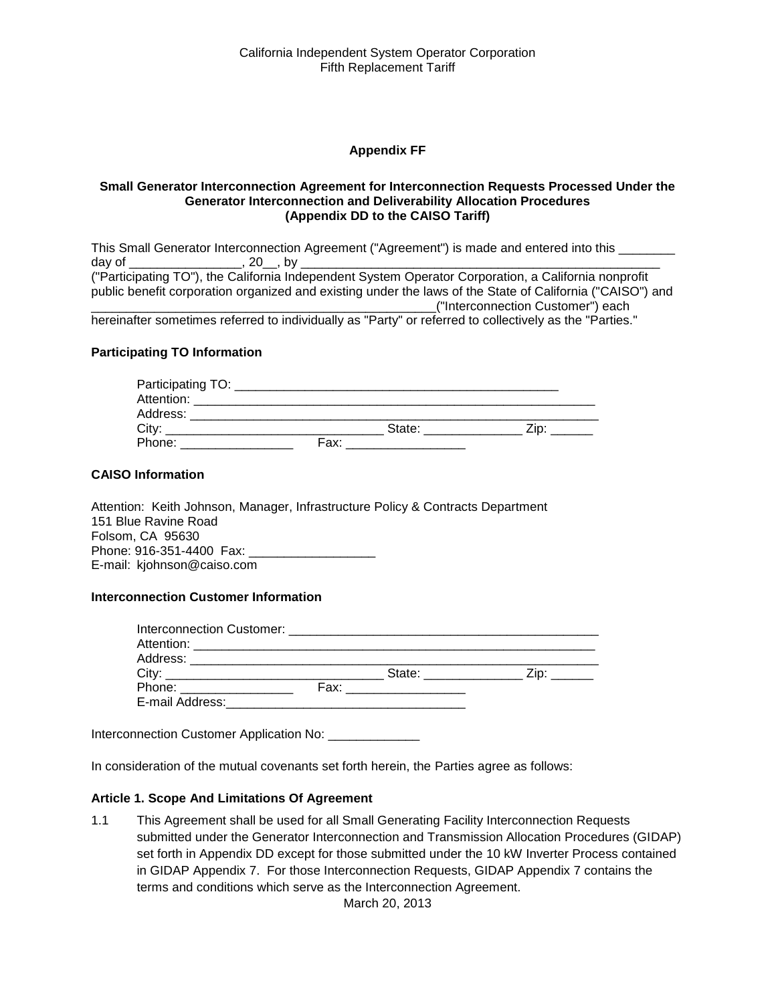#### **Appendix FF**

#### **Small Generator Interconnection Agreement for Interconnection Requests Processed Under the Generator Interconnection and Deliverability Allocation Procedures (Appendix DD to the CAISO Tariff)**

This Small Generator Interconnection Agreement ("Agreement") is made and entered into this \_\_\_\_\_\_\_\_ day of \_\_\_\_\_\_\_\_\_\_\_\_\_\_\_\_, 20\_\_, by \_\_\_\_\_\_\_\_\_\_\_\_\_\_\_\_\_\_\_\_\_\_\_\_\_\_\_\_\_\_\_\_\_\_\_\_\_\_\_\_\_\_\_\_\_\_\_\_\_\_\_ ("Participating TO"), the California Independent System Operator Corporation, a California nonprofit public benefit corporation organized and existing under the laws of the State of California ("CAISO") and \_\_\_\_\_\_\_\_\_\_\_\_\_\_\_\_\_\_\_\_\_\_\_\_\_\_\_\_\_\_\_\_\_\_\_\_\_\_\_\_\_\_\_\_\_\_\_\_\_("Interconnection Customer") each hereinafter sometimes referred to individually as "Party" or referred to collectively as the "Parties."

#### **Participating TO Information**

| Participating TO: |      |        |  |
|-------------------|------|--------|--|
| Attention:        |      |        |  |
| Address:          |      |        |  |
| City:             |      | State: |  |
| Phone:            | Fax: |        |  |

#### **CAISO Information**

Attention: Keith Johnson, Manager, Infrastructure Policy & Contracts Department 151 Blue Ravine Road Folsom, CA 95630 Phone: 916-351-4400 Fax: \_ E-mail: kjohnson@caiso.com

#### **Interconnection Customer Information**

| City:                     | State: ________         | Zip: The Side of the Side of the Side of the Side of the Side of the Side of the Side of the Side of the Side o |
|---------------------------|-------------------------|-----------------------------------------------------------------------------------------------------------------|
| Phone: __________________ | Fax: __________________ |                                                                                                                 |
| E-mail Address:           |                         |                                                                                                                 |

Interconnection Customer Application No: \_\_\_\_\_\_\_\_\_\_\_\_\_

In consideration of the mutual covenants set forth herein, the Parties agree as follows:

#### **Article 1. Scope And Limitations Of Agreement**

1.1 This Agreement shall be used for all Small Generating Facility Interconnection Requests submitted under the Generator Interconnection and Transmission Allocation Procedures (GIDAP) set forth in Appendix DD except for those submitted under the 10 kW Inverter Process contained in GIDAP Appendix 7. For those Interconnection Requests, GIDAP Appendix 7 contains the terms and conditions which serve as the Interconnection Agreement.

March 20, 2013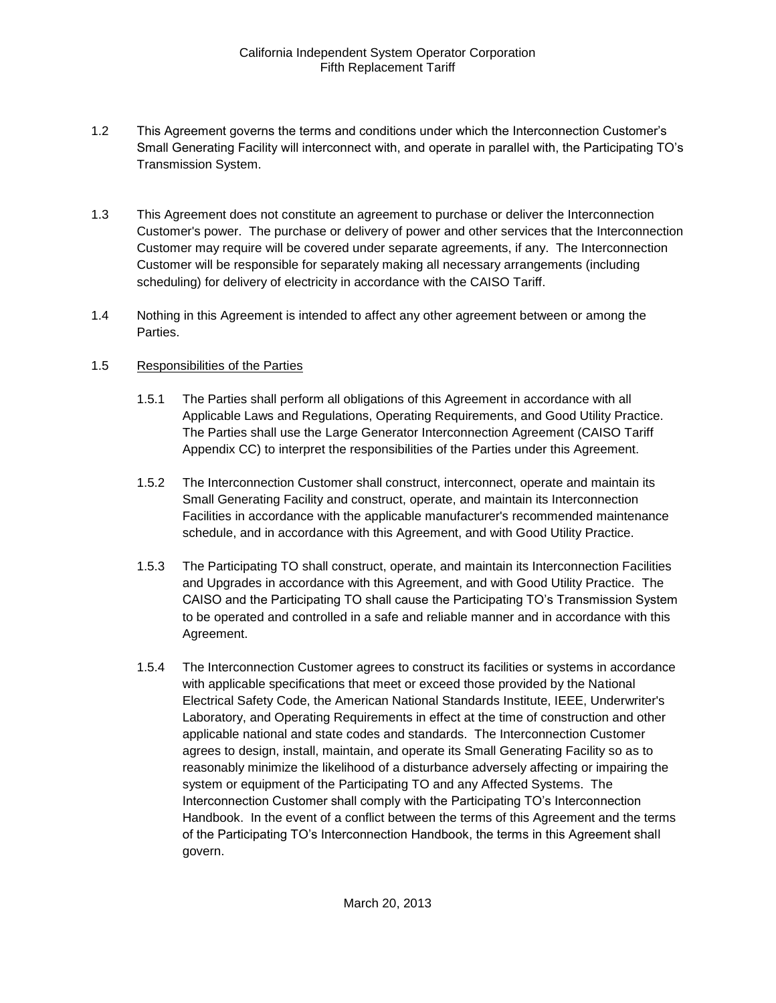- 1.2 This Agreement governs the terms and conditions under which the Interconnection Customer's Small Generating Facility will interconnect with, and operate in parallel with, the Participating TO's Transmission System.
- 1.3 This Agreement does not constitute an agreement to purchase or deliver the Interconnection Customer's power. The purchase or delivery of power and other services that the Interconnection Customer may require will be covered under separate agreements, if any. The Interconnection Customer will be responsible for separately making all necessary arrangements (including scheduling) for delivery of electricity in accordance with the CAISO Tariff.
- 1.4 Nothing in this Agreement is intended to affect any other agreement between or among the Parties.

## 1.5 Responsibilities of the Parties

- 1.5.1 The Parties shall perform all obligations of this Agreement in accordance with all Applicable Laws and Regulations, Operating Requirements, and Good Utility Practice. The Parties shall use the Large Generator Interconnection Agreement (CAISO Tariff Appendix CC) to interpret the responsibilities of the Parties under this Agreement.
- 1.5.2 The Interconnection Customer shall construct, interconnect, operate and maintain its Small Generating Facility and construct, operate, and maintain its Interconnection Facilities in accordance with the applicable manufacturer's recommended maintenance schedule, and in accordance with this Agreement, and with Good Utility Practice.
- 1.5.3 The Participating TO shall construct, operate, and maintain its Interconnection Facilities and Upgrades in accordance with this Agreement, and with Good Utility Practice. The CAISO and the Participating TO shall cause the Participating TO's Transmission System to be operated and controlled in a safe and reliable manner and in accordance with this Agreement.
- 1.5.4 The Interconnection Customer agrees to construct its facilities or systems in accordance with applicable specifications that meet or exceed those provided by the National Electrical Safety Code, the American National Standards Institute, IEEE, Underwriter's Laboratory, and Operating Requirements in effect at the time of construction and other applicable national and state codes and standards. The Interconnection Customer agrees to design, install, maintain, and operate its Small Generating Facility so as to reasonably minimize the likelihood of a disturbance adversely affecting or impairing the system or equipment of the Participating TO and any Affected Systems. The Interconnection Customer shall comply with the Participating TO's Interconnection Handbook. In the event of a conflict between the terms of this Agreement and the terms of the Participating TO's Interconnection Handbook, the terms in this Agreement shall govern.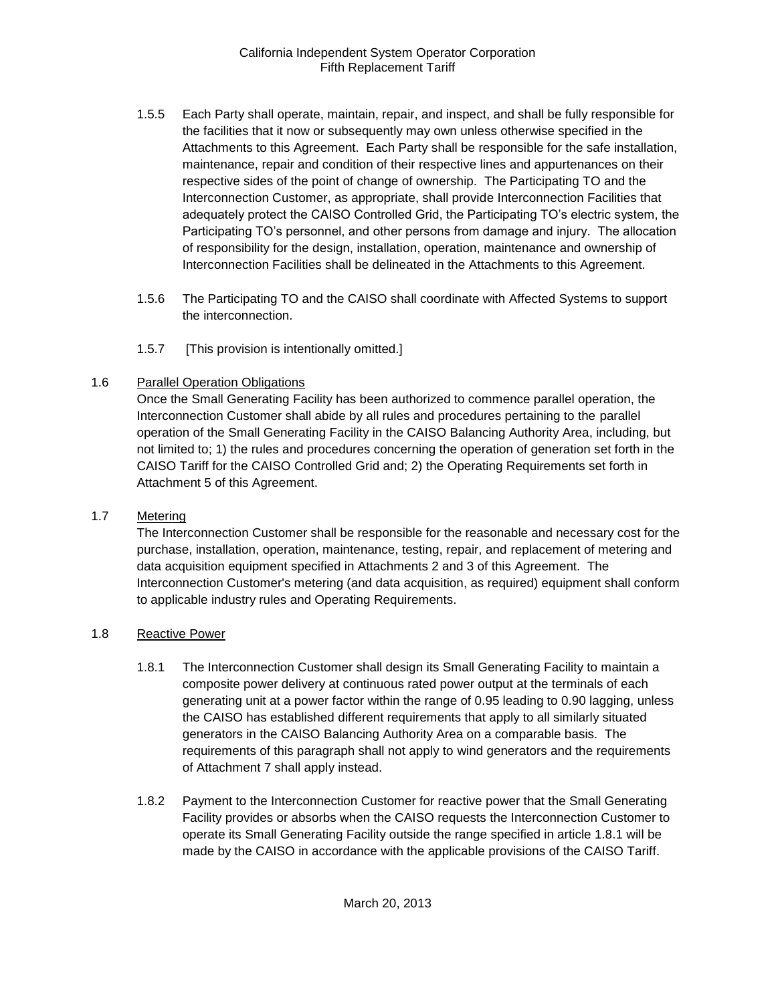- 1.5.5 Each Party shall operate, maintain, repair, and inspect, and shall be fully responsible for the facilities that it now or subsequently may own unless otherwise specified in the Attachments to this Agreement. Each Party shall be responsible for the safe installation, maintenance, repair and condition of their respective lines and appurtenances on their respective sides of the point of change of ownership. The Participating TO and the Interconnection Customer, as appropriate, shall provide Interconnection Facilities that adequately protect the CAISO Controlled Grid, the Participating TO's electric system, the Participating TO's personnel, and other persons from damage and injury. The allocation of responsibility for the design, installation, operation, maintenance and ownership of Interconnection Facilities shall be delineated in the Attachments to this Agreement.
- 1.5.6 The Participating TO and the CAISO shall coordinate with Affected Systems to support the interconnection.
- 1.5.7 [This provision is intentionally omitted.]

## 1.6 Parallel Operation Obligations

Once the Small Generating Facility has been authorized to commence parallel operation, the Interconnection Customer shall abide by all rules and procedures pertaining to the parallel operation of the Small Generating Facility in the CAISO Balancing Authority Area, including, but not limited to; 1) the rules and procedures concerning the operation of generation set forth in the CAISO Tariff for the CAISO Controlled Grid and; 2) the Operating Requirements set forth in Attachment 5 of this Agreement.

## 1.7 Metering

The Interconnection Customer shall be responsible for the reasonable and necessary cost for the purchase, installation, operation, maintenance, testing, repair, and replacement of metering and data acquisition equipment specified in Attachments 2 and 3 of this Agreement. The Interconnection Customer's metering (and data acquisition, as required) equipment shall conform to applicable industry rules and Operating Requirements.

## 1.8 Reactive Power

- 1.8.1 The Interconnection Customer shall design its Small Generating Facility to maintain a composite power delivery at continuous rated power output at the terminals of each generating unit at a power factor within the range of 0.95 leading to 0.90 lagging, unless the CAISO has established different requirements that apply to all similarly situated generators in the CAISO Balancing Authority Area on a comparable basis. The requirements of this paragraph shall not apply to wind generators and the requirements of Attachment 7 shall apply instead.
- 1.8.2 Payment to the Interconnection Customer for reactive power that the Small Generating Facility provides or absorbs when the CAISO requests the Interconnection Customer to operate its Small Generating Facility outside the range specified in article 1.8.1 will be made by the CAISO in accordance with the applicable provisions of the CAISO Tariff.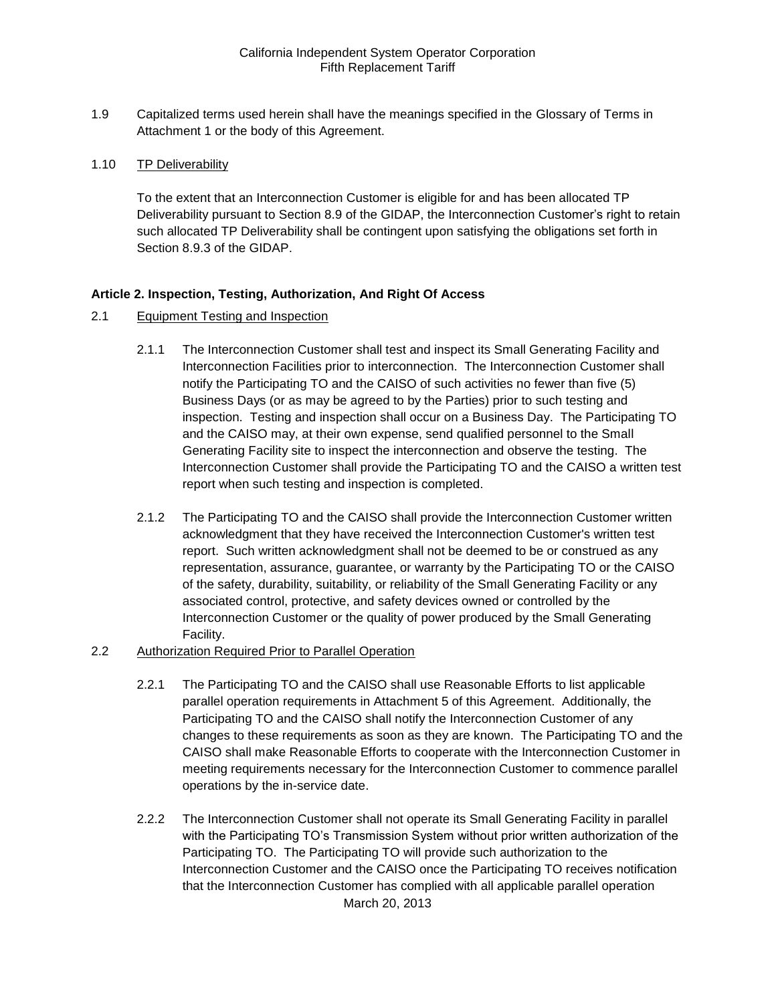1.9 Capitalized terms used herein shall have the meanings specified in the Glossary of Terms in Attachment 1 or the body of this Agreement.

#### 1.10 TP Deliverability

To the extent that an Interconnection Customer is eligible for and has been allocated TP Deliverability pursuant to Section 8.9 of the GIDAP, the Interconnection Customer's right to retain such allocated TP Deliverability shall be contingent upon satisfying the obligations set forth in Section 8.9.3 of the GIDAP.

#### **Article 2. Inspection, Testing, Authorization, And Right Of Access**

- 2.1 Equipment Testing and Inspection
	- 2.1.1 The Interconnection Customer shall test and inspect its Small Generating Facility and Interconnection Facilities prior to interconnection. The Interconnection Customer shall notify the Participating TO and the CAISO of such activities no fewer than five (5) Business Days (or as may be agreed to by the Parties) prior to such testing and inspection. Testing and inspection shall occur on a Business Day. The Participating TO and the CAISO may, at their own expense, send qualified personnel to the Small Generating Facility site to inspect the interconnection and observe the testing. The Interconnection Customer shall provide the Participating TO and the CAISO a written test report when such testing and inspection is completed.
	- 2.1.2 The Participating TO and the CAISO shall provide the Interconnection Customer written acknowledgment that they have received the Interconnection Customer's written test report. Such written acknowledgment shall not be deemed to be or construed as any representation, assurance, guarantee, or warranty by the Participating TO or the CAISO of the safety, durability, suitability, or reliability of the Small Generating Facility or any associated control, protective, and safety devices owned or controlled by the Interconnection Customer or the quality of power produced by the Small Generating Facility.
- 2.2 Authorization Required Prior to Parallel Operation
	- 2.2.1 The Participating TO and the CAISO shall use Reasonable Efforts to list applicable parallel operation requirements in Attachment 5 of this Agreement. Additionally, the Participating TO and the CAISO shall notify the Interconnection Customer of any changes to these requirements as soon as they are known. The Participating TO and the CAISO shall make Reasonable Efforts to cooperate with the Interconnection Customer in meeting requirements necessary for the Interconnection Customer to commence parallel operations by the in-service date.
	- March 20, 2013 2.2.2 The Interconnection Customer shall not operate its Small Generating Facility in parallel with the Participating TO's Transmission System without prior written authorization of the Participating TO. The Participating TO will provide such authorization to the Interconnection Customer and the CAISO once the Participating TO receives notification that the Interconnection Customer has complied with all applicable parallel operation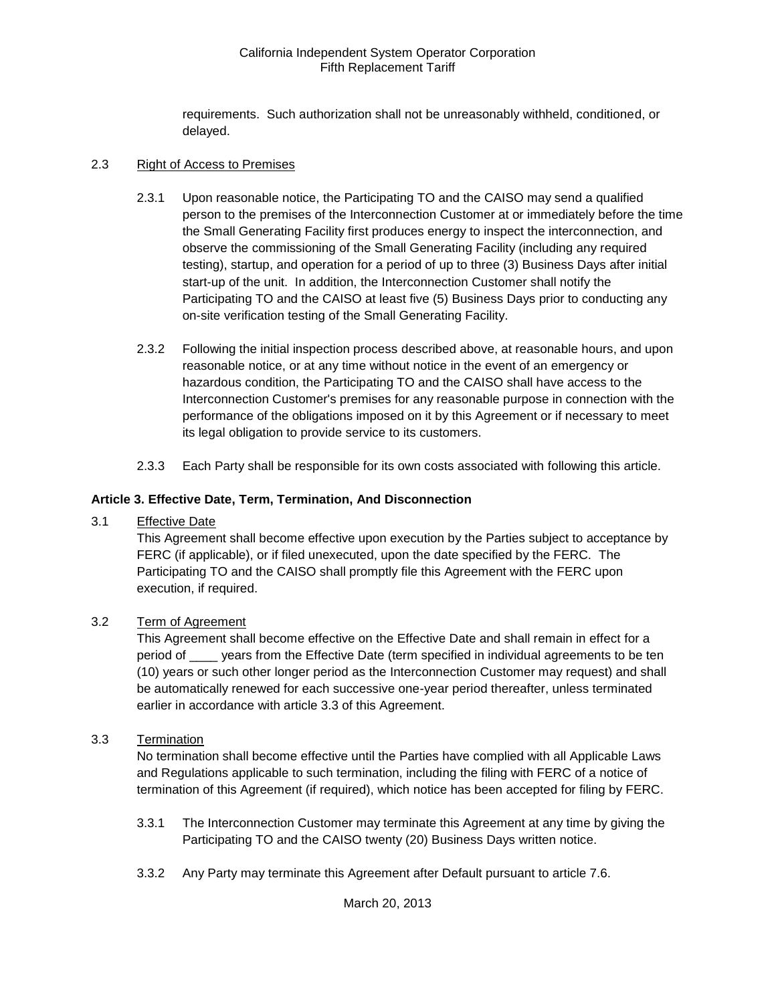requirements. Such authorization shall not be unreasonably withheld, conditioned, or delayed.

#### 2.3 Right of Access to Premises

- 2.3.1 Upon reasonable notice, the Participating TO and the CAISO may send a qualified person to the premises of the Interconnection Customer at or immediately before the time the Small Generating Facility first produces energy to inspect the interconnection, and observe the commissioning of the Small Generating Facility (including any required testing), startup, and operation for a period of up to three (3) Business Days after initial start-up of the unit. In addition, the Interconnection Customer shall notify the Participating TO and the CAISO at least five (5) Business Days prior to conducting any on-site verification testing of the Small Generating Facility.
- 2.3.2 Following the initial inspection process described above, at reasonable hours, and upon reasonable notice, or at any time without notice in the event of an emergency or hazardous condition, the Participating TO and the CAISO shall have access to the Interconnection Customer's premises for any reasonable purpose in connection with the performance of the obligations imposed on it by this Agreement or if necessary to meet its legal obligation to provide service to its customers.
- 2.3.3 Each Party shall be responsible for its own costs associated with following this article.

## **Article 3. Effective Date, Term, Termination, And Disconnection**

3.1 Effective Date

This Agreement shall become effective upon execution by the Parties subject to acceptance by FERC (if applicable), or if filed unexecuted, upon the date specified by the FERC. The Participating TO and the CAISO shall promptly file this Agreement with the FERC upon execution, if required.

## 3.2 Term of Agreement

This Agreement shall become effective on the Effective Date and shall remain in effect for a period of \_\_\_\_ years from the Effective Date (term specified in individual agreements to be ten (10) years or such other longer period as the Interconnection Customer may request) and shall be automatically renewed for each successive one-year period thereafter, unless terminated earlier in accordance with article 3.3 of this Agreement.

#### 3.3 Termination

No termination shall become effective until the Parties have complied with all Applicable Laws and Regulations applicable to such termination, including the filing with FERC of a notice of termination of this Agreement (if required), which notice has been accepted for filing by FERC.

- 3.3.1 The Interconnection Customer may terminate this Agreement at any time by giving the Participating TO and the CAISO twenty (20) Business Days written notice.
- 3.3.2 Any Party may terminate this Agreement after Default pursuant to article 7.6.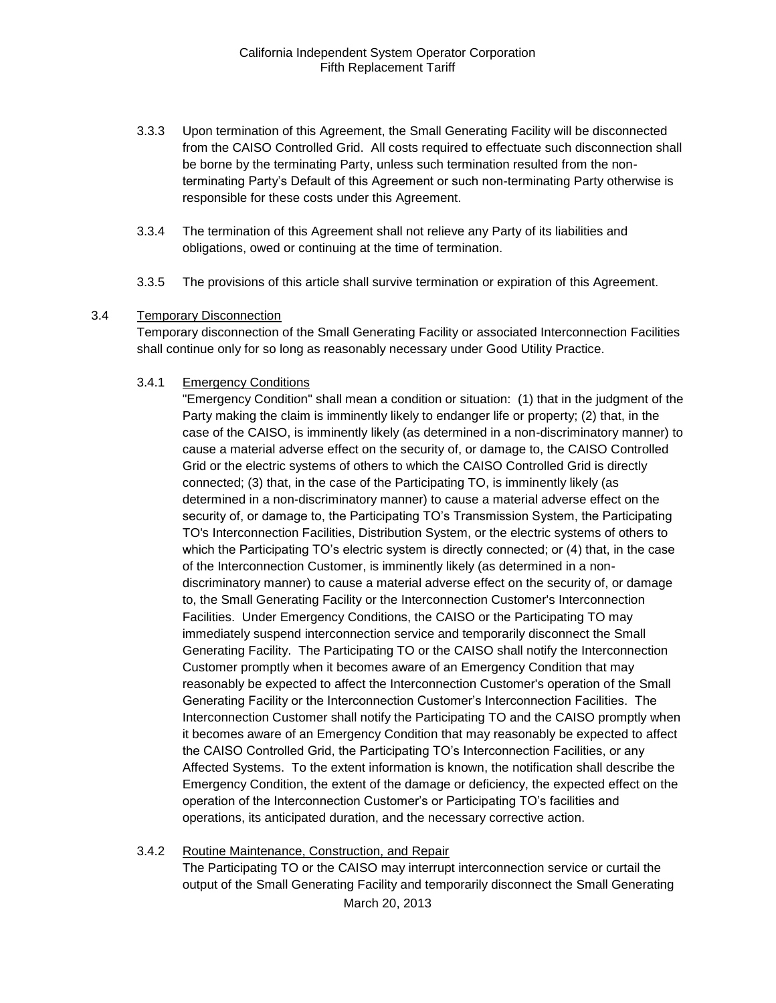- 3.3.3 Upon termination of this Agreement, the Small Generating Facility will be disconnected from the CAISO Controlled Grid. All costs required to effectuate such disconnection shall be borne by the terminating Party, unless such termination resulted from the nonterminating Party's Default of this Agreement or such non-terminating Party otherwise is responsible for these costs under this Agreement.
- 3.3.4 The termination of this Agreement shall not relieve any Party of its liabilities and obligations, owed or continuing at the time of termination.
- 3.3.5 The provisions of this article shall survive termination or expiration of this Agreement.

#### 3.4 Temporary Disconnection

Temporary disconnection of the Small Generating Facility or associated Interconnection Facilities shall continue only for so long as reasonably necessary under Good Utility Practice.

#### 3.4.1 Emergency Conditions

"Emergency Condition" shall mean a condition or situation: (1) that in the judgment of the Party making the claim is imminently likely to endanger life or property; (2) that, in the case of the CAISO, is imminently likely (as determined in a non-discriminatory manner) to cause a material adverse effect on the security of, or damage to, the CAISO Controlled Grid or the electric systems of others to which the CAISO Controlled Grid is directly connected; (3) that, in the case of the Participating TO, is imminently likely (as determined in a non-discriminatory manner) to cause a material adverse effect on the security of, or damage to, the Participating TO's Transmission System, the Participating TO's Interconnection Facilities, Distribution System, or the electric systems of others to which the Participating TO's electric system is directly connected; or (4) that, in the case of the Interconnection Customer, is imminently likely (as determined in a nondiscriminatory manner) to cause a material adverse effect on the security of, or damage to, the Small Generating Facility or the Interconnection Customer's Interconnection Facilities. Under Emergency Conditions, the CAISO or the Participating TO may immediately suspend interconnection service and temporarily disconnect the Small Generating Facility. The Participating TO or the CAISO shall notify the Interconnection Customer promptly when it becomes aware of an Emergency Condition that may reasonably be expected to affect the Interconnection Customer's operation of the Small Generating Facility or the Interconnection Customer's Interconnection Facilities. The Interconnection Customer shall notify the Participating TO and the CAISO promptly when it becomes aware of an Emergency Condition that may reasonably be expected to affect the CAISO Controlled Grid, the Participating TO's Interconnection Facilities, or any Affected Systems. To the extent information is known, the notification shall describe the Emergency Condition, the extent of the damage or deficiency, the expected effect on the operation of the Interconnection Customer's or Participating TO's facilities and operations, its anticipated duration, and the necessary corrective action.

#### 3.4.2 Routine Maintenance, Construction, and Repair

The Participating TO or the CAISO may interrupt interconnection service or curtail the output of the Small Generating Facility and temporarily disconnect the Small Generating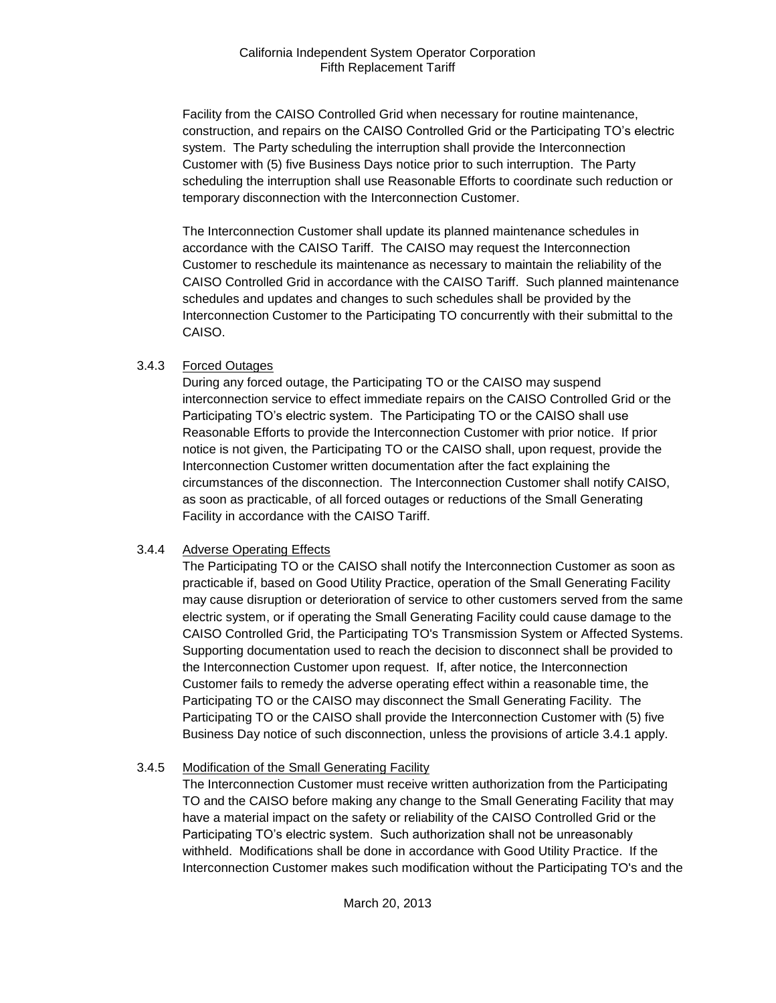Facility from the CAISO Controlled Grid when necessary for routine maintenance, construction, and repairs on the CAISO Controlled Grid or the Participating TO's electric system. The Party scheduling the interruption shall provide the Interconnection Customer with (5) five Business Days notice prior to such interruption. The Party scheduling the interruption shall use Reasonable Efforts to coordinate such reduction or temporary disconnection with the Interconnection Customer.

The Interconnection Customer shall update its planned maintenance schedules in accordance with the CAISO Tariff. The CAISO may request the Interconnection Customer to reschedule its maintenance as necessary to maintain the reliability of the CAISO Controlled Grid in accordance with the CAISO Tariff. Such planned maintenance schedules and updates and changes to such schedules shall be provided by the Interconnection Customer to the Participating TO concurrently with their submittal to the CAISO.

## 3.4.3 Forced Outages

During any forced outage, the Participating TO or the CAISO may suspend interconnection service to effect immediate repairs on the CAISO Controlled Grid or the Participating TO's electric system. The Participating TO or the CAISO shall use Reasonable Efforts to provide the Interconnection Customer with prior notice. If prior notice is not given, the Participating TO or the CAISO shall, upon request, provide the Interconnection Customer written documentation after the fact explaining the circumstances of the disconnection. The Interconnection Customer shall notify CAISO, as soon as practicable, of all forced outages or reductions of the Small Generating Facility in accordance with the CAISO Tariff.

## 3.4.4 Adverse Operating Effects

The Participating TO or the CAISO shall notify the Interconnection Customer as soon as practicable if, based on Good Utility Practice, operation of the Small Generating Facility may cause disruption or deterioration of service to other customers served from the same electric system, or if operating the Small Generating Facility could cause damage to the CAISO Controlled Grid, the Participating TO's Transmission System or Affected Systems. Supporting documentation used to reach the decision to disconnect shall be provided to the Interconnection Customer upon request. If, after notice, the Interconnection Customer fails to remedy the adverse operating effect within a reasonable time, the Participating TO or the CAISO may disconnect the Small Generating Facility. The Participating TO or the CAISO shall provide the Interconnection Customer with (5) five Business Day notice of such disconnection, unless the provisions of article 3.4.1 apply.

## 3.4.5 Modification of the Small Generating Facility

The Interconnection Customer must receive written authorization from the Participating TO and the CAISO before making any change to the Small Generating Facility that may have a material impact on the safety or reliability of the CAISO Controlled Grid or the Participating TO's electric system. Such authorization shall not be unreasonably withheld. Modifications shall be done in accordance with Good Utility Practice. If the Interconnection Customer makes such modification without the Participating TO's and the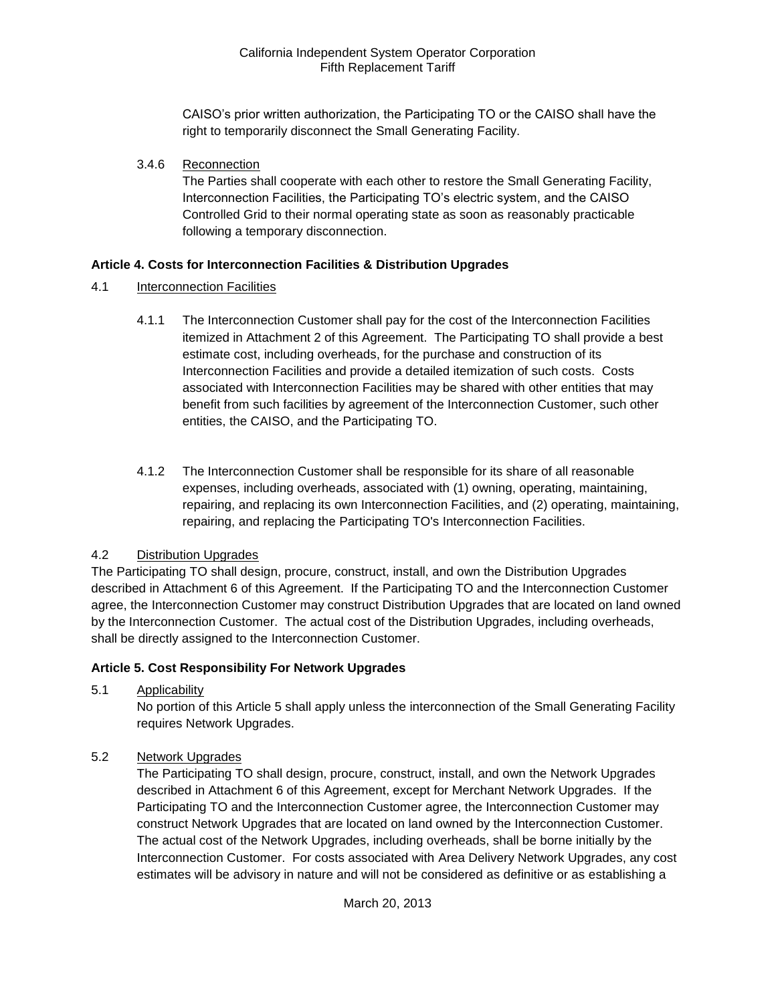CAISO's prior written authorization, the Participating TO or the CAISO shall have the right to temporarily disconnect the Small Generating Facility.

3.4.6 Reconnection

The Parties shall cooperate with each other to restore the Small Generating Facility, Interconnection Facilities, the Participating TO's electric system, and the CAISO Controlled Grid to their normal operating state as soon as reasonably practicable following a temporary disconnection.

## **Article 4. Costs for Interconnection Facilities & Distribution Upgrades**

- 4.1 Interconnection Facilities
	- 4.1.1 The Interconnection Customer shall pay for the cost of the Interconnection Facilities itemized in Attachment 2 of this Agreement. The Participating TO shall provide a best estimate cost, including overheads, for the purchase and construction of its Interconnection Facilities and provide a detailed itemization of such costs. Costs associated with Interconnection Facilities may be shared with other entities that may benefit from such facilities by agreement of the Interconnection Customer, such other entities, the CAISO, and the Participating TO.
	- 4.1.2 The Interconnection Customer shall be responsible for its share of all reasonable expenses, including overheads, associated with (1) owning, operating, maintaining, repairing, and replacing its own Interconnection Facilities, and (2) operating, maintaining, repairing, and replacing the Participating TO's Interconnection Facilities.

## 4.2 Distribution Upgrades

The Participating TO shall design, procure, construct, install, and own the Distribution Upgrades described in Attachment 6 of this Agreement. If the Participating TO and the Interconnection Customer agree, the Interconnection Customer may construct Distribution Upgrades that are located on land owned by the Interconnection Customer. The actual cost of the Distribution Upgrades, including overheads, shall be directly assigned to the Interconnection Customer.

## **Article 5. Cost Responsibility For Network Upgrades**

5.1 Applicability

No portion of this Article 5 shall apply unless the interconnection of the Small Generating Facility requires Network Upgrades.

5.2 Network Upgrades

The Participating TO shall design, procure, construct, install, and own the Network Upgrades described in Attachment 6 of this Agreement, except for Merchant Network Upgrades. If the Participating TO and the Interconnection Customer agree, the Interconnection Customer may construct Network Upgrades that are located on land owned by the Interconnection Customer. The actual cost of the Network Upgrades, including overheads, shall be borne initially by the Interconnection Customer. For costs associated with Area Delivery Network Upgrades, any cost estimates will be advisory in nature and will not be considered as definitive or as establishing a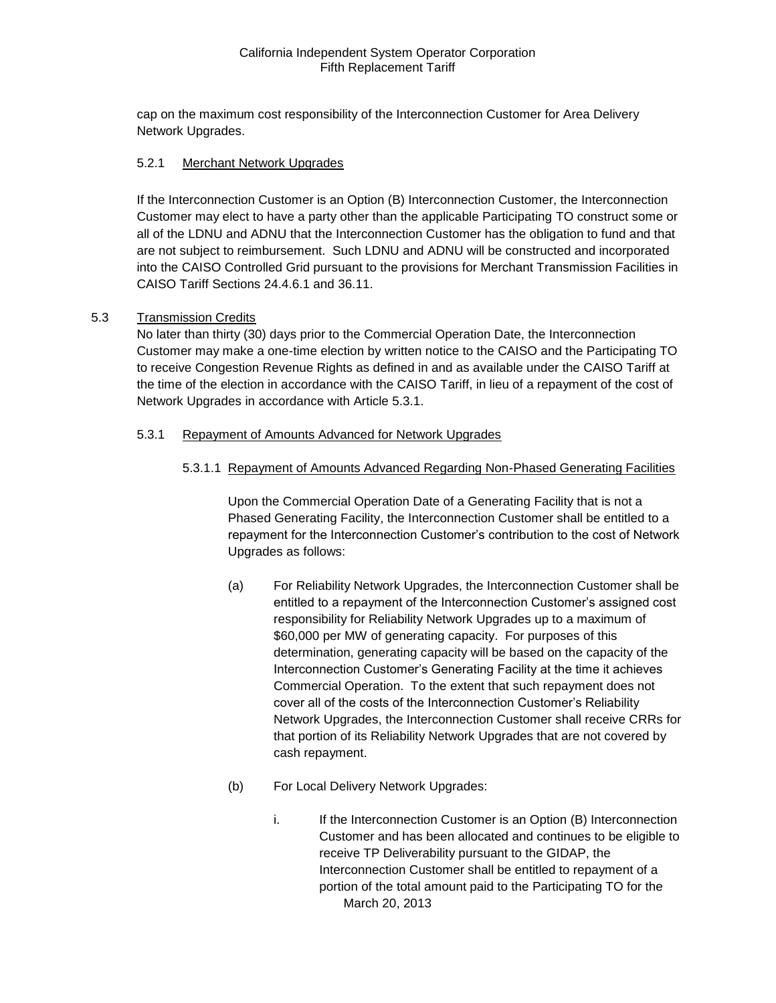cap on the maximum cost responsibility of the Interconnection Customer for Area Delivery Network Upgrades.

#### 5.2.1 Merchant Network Upgrades

If the Interconnection Customer is an Option (B) Interconnection Customer, the Interconnection Customer may elect to have a party other than the applicable Participating TO construct some or all of the LDNU and ADNU that the Interconnection Customer has the obligation to fund and that are not subject to reimbursement. Such LDNU and ADNU will be constructed and incorporated into the CAISO Controlled Grid pursuant to the provisions for Merchant Transmission Facilities in CAISO Tariff Sections 24.4.6.1 and 36.11.

#### 5.3 Transmission Credits

No later than thirty (30) days prior to the Commercial Operation Date, the Interconnection Customer may make a one-time election by written notice to the CAISO and the Participating TO to receive Congestion Revenue Rights as defined in and as available under the CAISO Tariff at the time of the election in accordance with the CAISO Tariff, in lieu of a repayment of the cost of Network Upgrades in accordance with Article 5.3.1.

#### 5.3.1 Repayment of Amounts Advanced for Network Upgrades

#### 5.3.1.1 Repayment of Amounts Advanced Regarding Non-Phased Generating Facilities

Upon the Commercial Operation Date of a Generating Facility that is not a Phased Generating Facility, the Interconnection Customer shall be entitled to a repayment for the Interconnection Customer's contribution to the cost of Network Upgrades as follows:

- (a) For Reliability Network Upgrades, the Interconnection Customer shall be entitled to a repayment of the Interconnection Customer's assigned cost responsibility for Reliability Network Upgrades up to a maximum of \$60,000 per MW of generating capacity. For purposes of this determination, generating capacity will be based on the capacity of the Interconnection Customer's Generating Facility at the time it achieves Commercial Operation. To the extent that such repayment does not cover all of the costs of the Interconnection Customer's Reliability Network Upgrades, the Interconnection Customer shall receive CRRs for that portion of its Reliability Network Upgrades that are not covered by cash repayment.
- (b) For Local Delivery Network Upgrades:
	- March 20, 2013 i. If the Interconnection Customer is an Option (B) Interconnection Customer and has been allocated and continues to be eligible to receive TP Deliverability pursuant to the GIDAP, the Interconnection Customer shall be entitled to repayment of a portion of the total amount paid to the Participating TO for the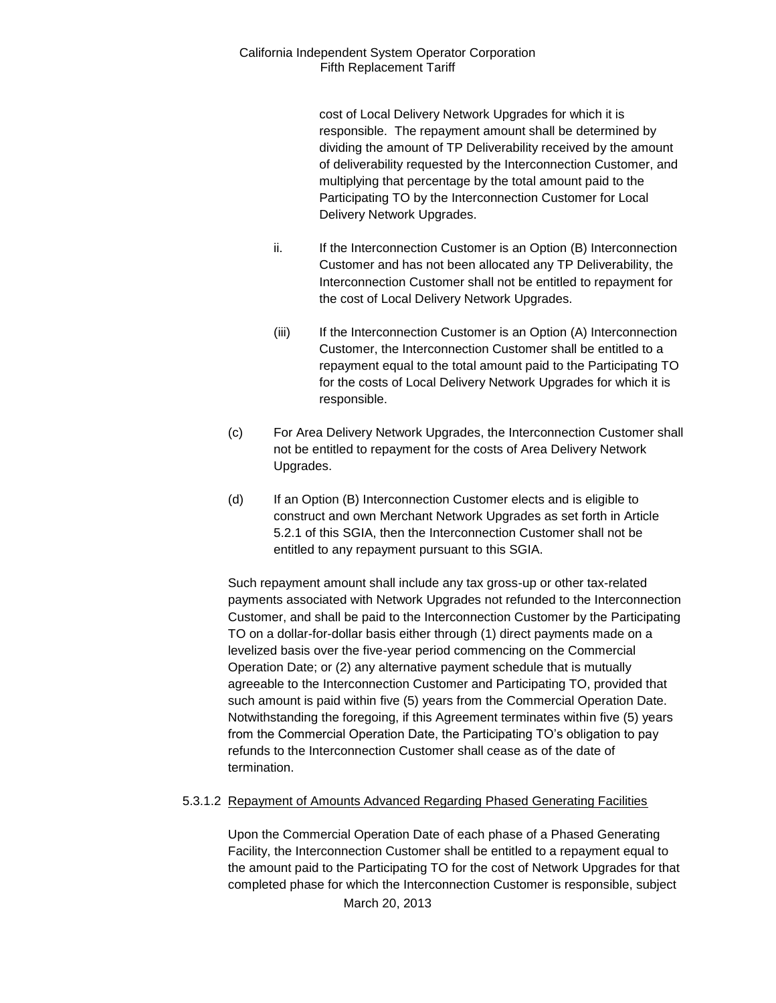cost of Local Delivery Network Upgrades for which it is responsible. The repayment amount shall be determined by dividing the amount of TP Deliverability received by the amount of deliverability requested by the Interconnection Customer, and multiplying that percentage by the total amount paid to the Participating TO by the Interconnection Customer for Local Delivery Network Upgrades.

- ii. If the Interconnection Customer is an Option (B) Interconnection Customer and has not been allocated any TP Deliverability, the Interconnection Customer shall not be entitled to repayment for the cost of Local Delivery Network Upgrades.
- (iii) If the Interconnection Customer is an Option (A) Interconnection Customer, the Interconnection Customer shall be entitled to a repayment equal to the total amount paid to the Participating TO for the costs of Local Delivery Network Upgrades for which it is responsible.
- (c) For Area Delivery Network Upgrades, the Interconnection Customer shall not be entitled to repayment for the costs of Area Delivery Network Upgrades.
- (d) If an Option (B) Interconnection Customer elects and is eligible to construct and own Merchant Network Upgrades as set forth in Article 5.2.1 of this SGIA, then the Interconnection Customer shall not be entitled to any repayment pursuant to this SGIA.

Such repayment amount shall include any tax gross-up or other tax-related payments associated with Network Upgrades not refunded to the Interconnection Customer, and shall be paid to the Interconnection Customer by the Participating TO on a dollar-for-dollar basis either through (1) direct payments made on a levelized basis over the five-year period commencing on the Commercial Operation Date; or (2) any alternative payment schedule that is mutually agreeable to the Interconnection Customer and Participating TO, provided that such amount is paid within five (5) years from the Commercial Operation Date. Notwithstanding the foregoing, if this Agreement terminates within five (5) years from the Commercial Operation Date, the Participating TO's obligation to pay refunds to the Interconnection Customer shall cease as of the date of termination.

## 5.3.1.2 Repayment of Amounts Advanced Regarding Phased Generating Facilities

Upon the Commercial Operation Date of each phase of a Phased Generating Facility, the Interconnection Customer shall be entitled to a repayment equal to the amount paid to the Participating TO for the cost of Network Upgrades for that completed phase for which the Interconnection Customer is responsible, subject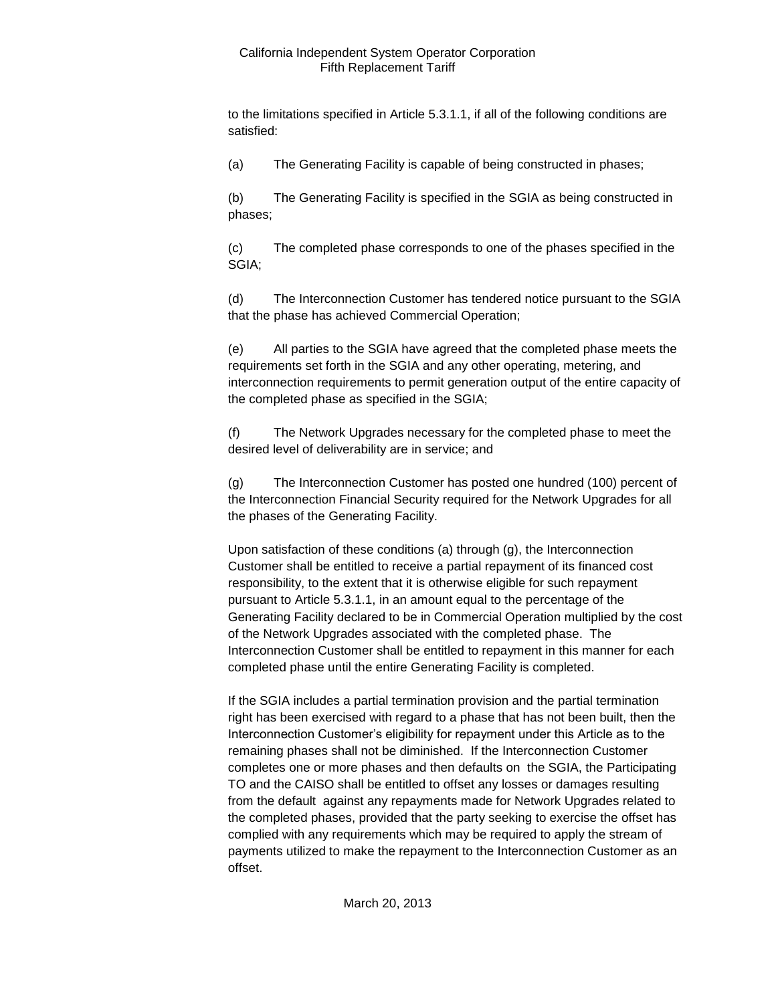to the limitations specified in Article 5.3.1.1, if all of the following conditions are satisfied:

(a) The Generating Facility is capable of being constructed in phases;

(b) The Generating Facility is specified in the SGIA as being constructed in phases;

(c) The completed phase corresponds to one of the phases specified in the SGIA;

(d) The Interconnection Customer has tendered notice pursuant to the SGIA that the phase has achieved Commercial Operation;

(e) All parties to the SGIA have agreed that the completed phase meets the requirements set forth in the SGIA and any other operating, metering, and interconnection requirements to permit generation output of the entire capacity of the completed phase as specified in the SGIA;

(f) The Network Upgrades necessary for the completed phase to meet the desired level of deliverability are in service; and

(g) The Interconnection Customer has posted one hundred (100) percent of the Interconnection Financial Security required for the Network Upgrades for all the phases of the Generating Facility.

Upon satisfaction of these conditions (a) through (g), the Interconnection Customer shall be entitled to receive a partial repayment of its financed cost responsibility, to the extent that it is otherwise eligible for such repayment pursuant to Article 5.3.1.1, in an amount equal to the percentage of the Generating Facility declared to be in Commercial Operation multiplied by the cost of the Network Upgrades associated with the completed phase. The Interconnection Customer shall be entitled to repayment in this manner for each completed phase until the entire Generating Facility is completed.

If the SGIA includes a partial termination provision and the partial termination right has been exercised with regard to a phase that has not been built, then the Interconnection Customer's eligibility for repayment under this Article as to the remaining phases shall not be diminished. If the Interconnection Customer completes one or more phases and then defaults on the SGIA, the Participating TO and the CAISO shall be entitled to offset any losses or damages resulting from the default against any repayments made for Network Upgrades related to the completed phases, provided that the party seeking to exercise the offset has complied with any requirements which may be required to apply the stream of payments utilized to make the repayment to the Interconnection Customer as an offset.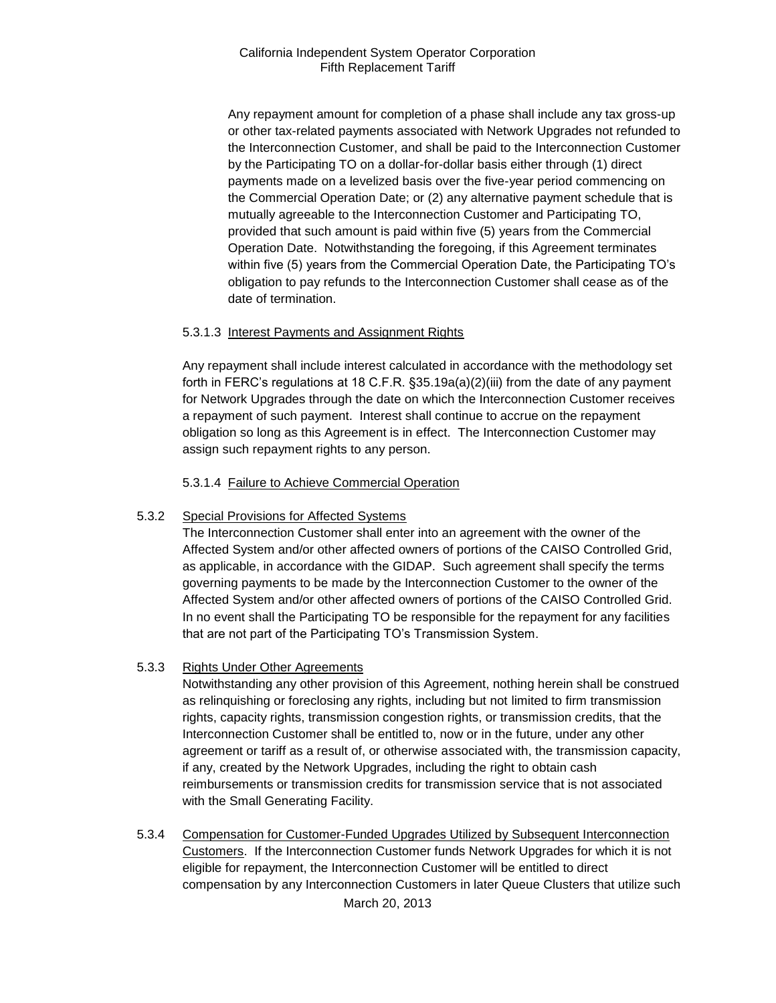Any repayment amount for completion of a phase shall include any tax gross-up or other tax-related payments associated with Network Upgrades not refunded to the Interconnection Customer, and shall be paid to the Interconnection Customer by the Participating TO on a dollar-for-dollar basis either through (1) direct payments made on a levelized basis over the five-year period commencing on the Commercial Operation Date; or (2) any alternative payment schedule that is mutually agreeable to the Interconnection Customer and Participating TO, provided that such amount is paid within five (5) years from the Commercial Operation Date. Notwithstanding the foregoing, if this Agreement terminates within five (5) years from the Commercial Operation Date, the Participating TO's obligation to pay refunds to the Interconnection Customer shall cease as of the date of termination.

## 5.3.1.3 Interest Payments and Assignment Rights

Any repayment shall include interest calculated in accordance with the methodology set forth in FERC's regulations at 18 C.F.R. §35.19a(a)(2)(iii) from the date of any payment for Network Upgrades through the date on which the Interconnection Customer receives a repayment of such payment. Interest shall continue to accrue on the repayment obligation so long as this Agreement is in effect. The Interconnection Customer may assign such repayment rights to any person.

5.3.1.4 Failure to Achieve Commercial Operation

## 5.3.2 Special Provisions for Affected Systems

The Interconnection Customer shall enter into an agreement with the owner of the Affected System and/or other affected owners of portions of the CAISO Controlled Grid, as applicable, in accordance with the GIDAP. Such agreement shall specify the terms governing payments to be made by the Interconnection Customer to the owner of the Affected System and/or other affected owners of portions of the CAISO Controlled Grid. In no event shall the Participating TO be responsible for the repayment for any facilities that are not part of the Participating TO's Transmission System.

## 5.3.3 Rights Under Other Agreements

Notwithstanding any other provision of this Agreement, nothing herein shall be construed as relinquishing or foreclosing any rights, including but not limited to firm transmission rights, capacity rights, transmission congestion rights, or transmission credits, that the Interconnection Customer shall be entitled to, now or in the future, under any other agreement or tariff as a result of, or otherwise associated with, the transmission capacity, if any, created by the Network Upgrades, including the right to obtain cash reimbursements or transmission credits for transmission service that is not associated with the Small Generating Facility.

5.3.4 Compensation for Customer-Funded Upgrades Utilized by Subsequent Interconnection Customers. If the Interconnection Customer funds Network Upgrades for which it is not eligible for repayment, the Interconnection Customer will be entitled to direct compensation by any Interconnection Customers in later Queue Clusters that utilize such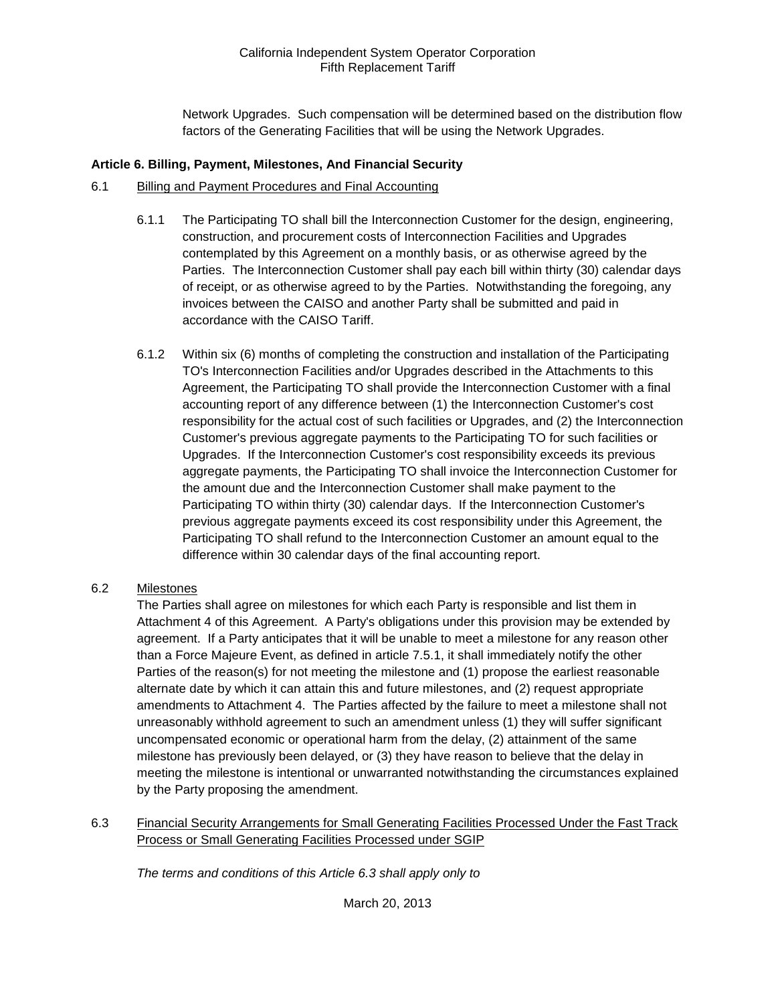Network Upgrades. Such compensation will be determined based on the distribution flow factors of the Generating Facilities that will be using the Network Upgrades.

#### **Article 6. Billing, Payment, Milestones, And Financial Security**

#### 6.1 Billing and Payment Procedures and Final Accounting

- 6.1.1 The Participating TO shall bill the Interconnection Customer for the design, engineering, construction, and procurement costs of Interconnection Facilities and Upgrades contemplated by this Agreement on a monthly basis, or as otherwise agreed by the Parties. The Interconnection Customer shall pay each bill within thirty (30) calendar days of receipt, or as otherwise agreed to by the Parties. Notwithstanding the foregoing, any invoices between the CAISO and another Party shall be submitted and paid in accordance with the CAISO Tariff.
- 6.1.2 Within six (6) months of completing the construction and installation of the Participating TO's Interconnection Facilities and/or Upgrades described in the Attachments to this Agreement, the Participating TO shall provide the Interconnection Customer with a final accounting report of any difference between (1) the Interconnection Customer's cost responsibility for the actual cost of such facilities or Upgrades, and (2) the Interconnection Customer's previous aggregate payments to the Participating TO for such facilities or Upgrades. If the Interconnection Customer's cost responsibility exceeds its previous aggregate payments, the Participating TO shall invoice the Interconnection Customer for the amount due and the Interconnection Customer shall make payment to the Participating TO within thirty (30) calendar days. If the Interconnection Customer's previous aggregate payments exceed its cost responsibility under this Agreement, the Participating TO shall refund to the Interconnection Customer an amount equal to the difference within 30 calendar days of the final accounting report.

## 6.2 Milestones

The Parties shall agree on milestones for which each Party is responsible and list them in Attachment 4 of this Agreement. A Party's obligations under this provision may be extended by agreement. If a Party anticipates that it will be unable to meet a milestone for any reason other than a Force Majeure Event, as defined in article 7.5.1, it shall immediately notify the other Parties of the reason(s) for not meeting the milestone and (1) propose the earliest reasonable alternate date by which it can attain this and future milestones, and (2) request appropriate amendments to Attachment 4. The Parties affected by the failure to meet a milestone shall not unreasonably withhold agreement to such an amendment unless (1) they will suffer significant uncompensated economic or operational harm from the delay, (2) attainment of the same milestone has previously been delayed, or (3) they have reason to believe that the delay in meeting the milestone is intentional or unwarranted notwithstanding the circumstances explained by the Party proposing the amendment.

6.3 Financial Security Arrangements for Small Generating Facilities Processed Under the Fast Track Process or Small Generating Facilities Processed under SGIP

*The terms and conditions of this Article 6.3 shall apply only to*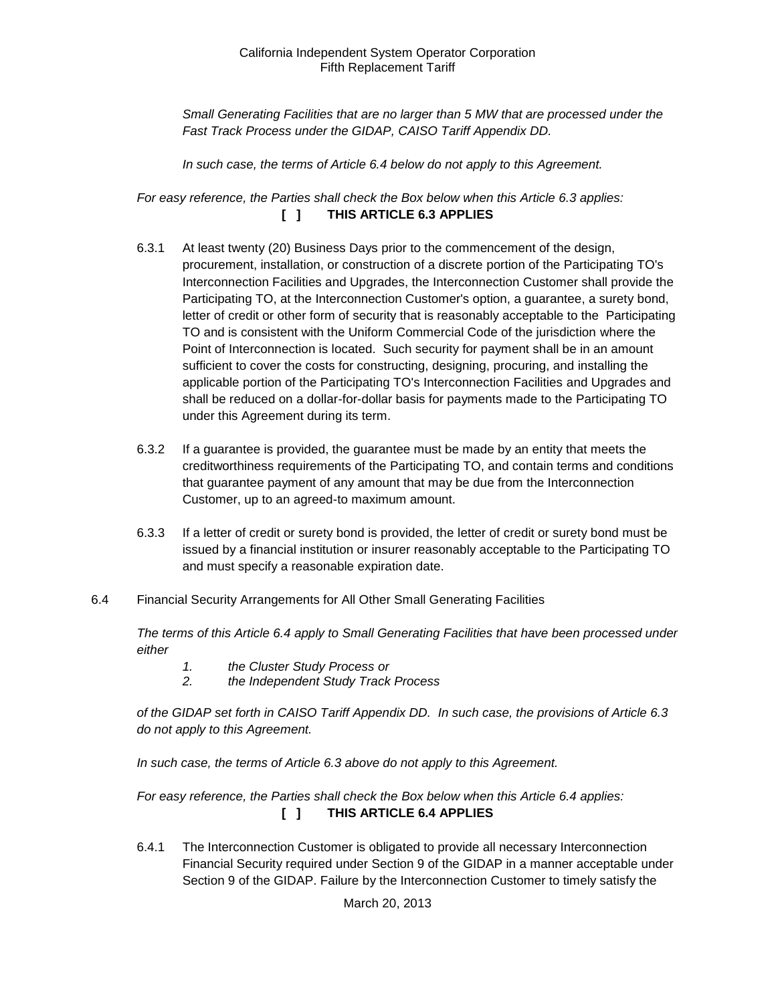*Small Generating Facilities that are no larger than 5 MW that are processed under the Fast Track Process under the GIDAP, CAISO Tariff Appendix DD.*

*In such case, the terms of Article 6.4 below do not apply to this Agreement.*

*For easy reference, the Parties shall check the Box below when this Article 6.3 applies:*  **[ ] THIS ARTICLE 6.3 APPLIES**

- 6.3.1 At least twenty (20) Business Days prior to the commencement of the design, procurement, installation, or construction of a discrete portion of the Participating TO's Interconnection Facilities and Upgrades, the Interconnection Customer shall provide the Participating TO, at the Interconnection Customer's option, a guarantee, a surety bond, letter of credit or other form of security that is reasonably acceptable to the Participating TO and is consistent with the Uniform Commercial Code of the jurisdiction where the Point of Interconnection is located. Such security for payment shall be in an amount sufficient to cover the costs for constructing, designing, procuring, and installing the applicable portion of the Participating TO's Interconnection Facilities and Upgrades and shall be reduced on a dollar-for-dollar basis for payments made to the Participating TO under this Agreement during its term.
- 6.3.2 If a guarantee is provided, the guarantee must be made by an entity that meets the creditworthiness requirements of the Participating TO, and contain terms and conditions that guarantee payment of any amount that may be due from the Interconnection Customer, up to an agreed-to maximum amount.
- 6.3.3 If a letter of credit or surety bond is provided, the letter of credit or surety bond must be issued by a financial institution or insurer reasonably acceptable to the Participating TO and must specify a reasonable expiration date.
- 6.4 Financial Security Arrangements for All Other Small Generating Facilities

*The terms of this Article 6.4 apply to Small Generating Facilities that have been processed under either* 

- *1. the Cluster Study Process or*
- *2. the Independent Study Track Process*

*of the GIDAP set forth in CAISO Tariff Appendix DD. In such case, the provisions of Article 6.3 do not apply to this Agreement.*

*In such case, the terms of Article 6.3 above do not apply to this Agreement.* 

*For easy reference, the Parties shall check the Box below when this Article 6.4 applies:*  **[ ] THIS ARTICLE 6.4 APPLIES**

6.4.1 The Interconnection Customer is obligated to provide all necessary Interconnection Financial Security required under Section 9 of the GIDAP in a manner acceptable under Section 9 of the GIDAP. Failure by the Interconnection Customer to timely satisfy the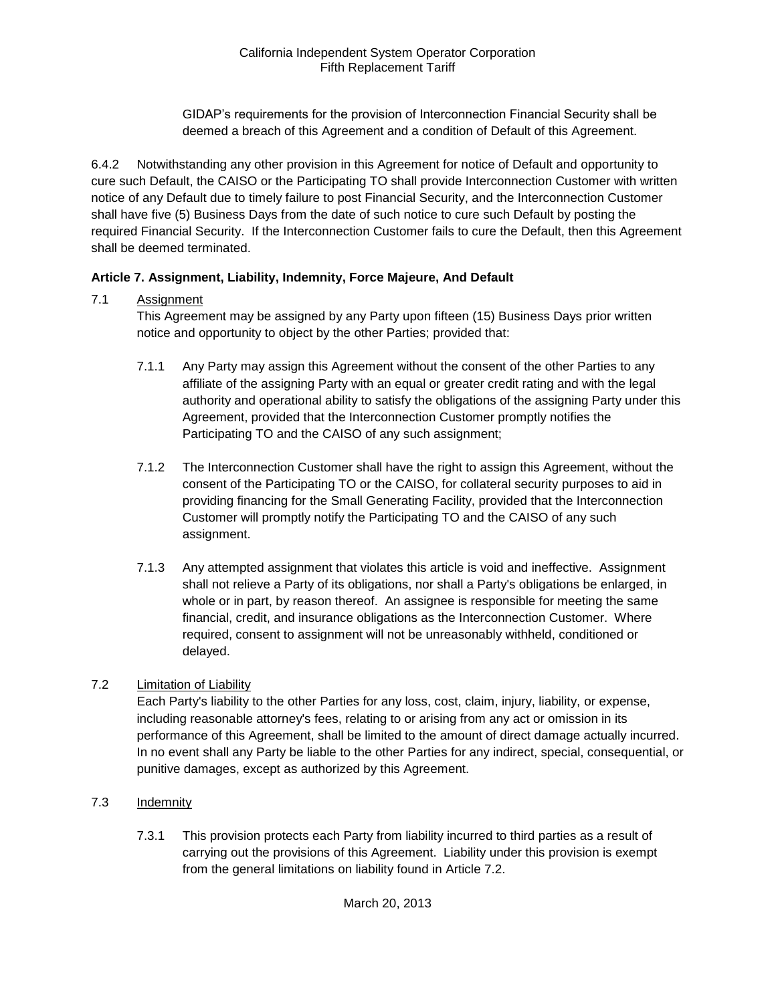GIDAP's requirements for the provision of Interconnection Financial Security shall be deemed a breach of this Agreement and a condition of Default of this Agreement.

6.4.2 Notwithstanding any other provision in this Agreement for notice of Default and opportunity to cure such Default, the CAISO or the Participating TO shall provide Interconnection Customer with written notice of any Default due to timely failure to post Financial Security, and the Interconnection Customer shall have five (5) Business Days from the date of such notice to cure such Default by posting the required Financial Security. If the Interconnection Customer fails to cure the Default, then this Agreement shall be deemed terminated.

## **Article 7. Assignment, Liability, Indemnity, Force Majeure, And Default**

## 7.1 Assignment

This Agreement may be assigned by any Party upon fifteen (15) Business Days prior written notice and opportunity to object by the other Parties; provided that:

- 7.1.1 Any Party may assign this Agreement without the consent of the other Parties to any affiliate of the assigning Party with an equal or greater credit rating and with the legal authority and operational ability to satisfy the obligations of the assigning Party under this Agreement, provided that the Interconnection Customer promptly notifies the Participating TO and the CAISO of any such assignment;
- 7.1.2 The Interconnection Customer shall have the right to assign this Agreement, without the consent of the Participating TO or the CAISO, for collateral security purposes to aid in providing financing for the Small Generating Facility, provided that the Interconnection Customer will promptly notify the Participating TO and the CAISO of any such assignment.
- 7.1.3 Any attempted assignment that violates this article is void and ineffective. Assignment shall not relieve a Party of its obligations, nor shall a Party's obligations be enlarged, in whole or in part, by reason thereof. An assignee is responsible for meeting the same financial, credit, and insurance obligations as the Interconnection Customer. Where required, consent to assignment will not be unreasonably withheld, conditioned or delayed.

## 7.2 Limitation of Liability

Each Party's liability to the other Parties for any loss, cost, claim, injury, liability, or expense, including reasonable attorney's fees, relating to or arising from any act or omission in its performance of this Agreement, shall be limited to the amount of direct damage actually incurred. In no event shall any Party be liable to the other Parties for any indirect, special, consequential, or punitive damages, except as authorized by this Agreement.

- 7.3 Indemnity
	- 7.3.1 This provision protects each Party from liability incurred to third parties as a result of carrying out the provisions of this Agreement. Liability under this provision is exempt from the general limitations on liability found in Article 7.2.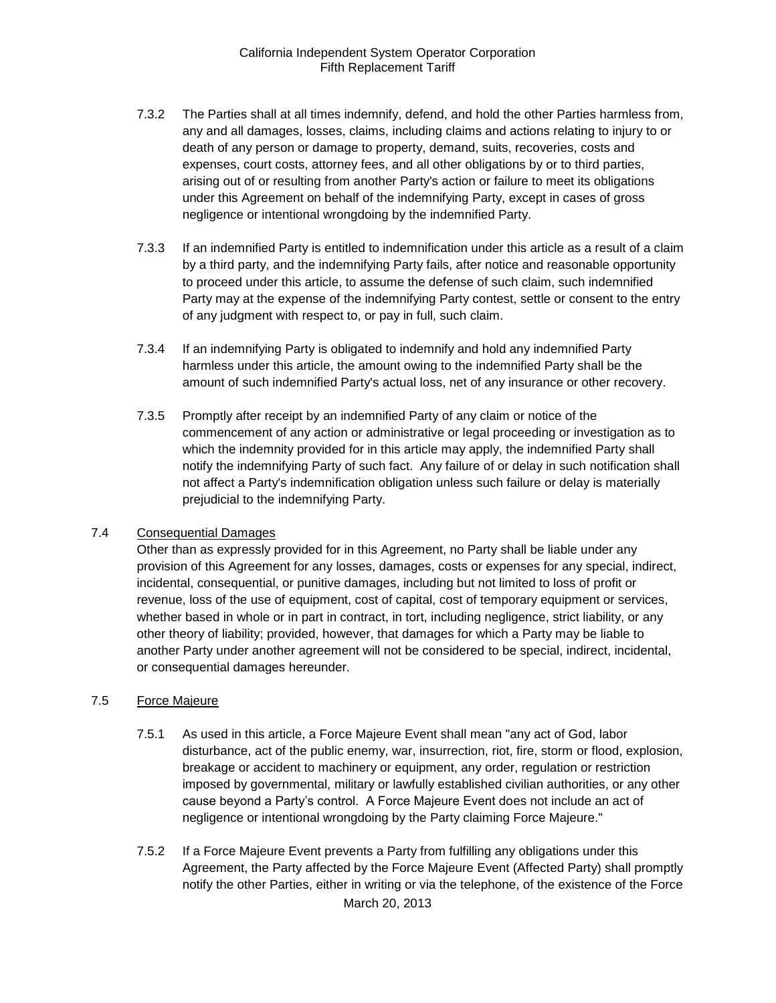- 7.3.2 The Parties shall at all times indemnify, defend, and hold the other Parties harmless from, any and all damages, losses, claims, including claims and actions relating to injury to or death of any person or damage to property, demand, suits, recoveries, costs and expenses, court costs, attorney fees, and all other obligations by or to third parties, arising out of or resulting from another Party's action or failure to meet its obligations under this Agreement on behalf of the indemnifying Party, except in cases of gross negligence or intentional wrongdoing by the indemnified Party.
- 7.3.3 If an indemnified Party is entitled to indemnification under this article as a result of a claim by a third party, and the indemnifying Party fails, after notice and reasonable opportunity to proceed under this article, to assume the defense of such claim, such indemnified Party may at the expense of the indemnifying Party contest, settle or consent to the entry of any judgment with respect to, or pay in full, such claim.
- 7.3.4 If an indemnifying Party is obligated to indemnify and hold any indemnified Party harmless under this article, the amount owing to the indemnified Party shall be the amount of such indemnified Party's actual loss, net of any insurance or other recovery.
- 7.3.5 Promptly after receipt by an indemnified Party of any claim or notice of the commencement of any action or administrative or legal proceeding or investigation as to which the indemnity provided for in this article may apply, the indemnified Party shall notify the indemnifying Party of such fact. Any failure of or delay in such notification shall not affect a Party's indemnification obligation unless such failure or delay is materially prejudicial to the indemnifying Party.

## 7.4 Consequential Damages

Other than as expressly provided for in this Agreement, no Party shall be liable under any provision of this Agreement for any losses, damages, costs or expenses for any special, indirect, incidental, consequential, or punitive damages, including but not limited to loss of profit or revenue, loss of the use of equipment, cost of capital, cost of temporary equipment or services, whether based in whole or in part in contract, in tort, including negligence, strict liability, or any other theory of liability; provided, however, that damages for which a Party may be liable to another Party under another agreement will not be considered to be special, indirect, incidental, or consequential damages hereunder.

## 7.5 Force Majeure

- 7.5.1 As used in this article, a Force Majeure Event shall mean "any act of God, labor disturbance, act of the public enemy, war, insurrection, riot, fire, storm or flood, explosion, breakage or accident to machinery or equipment, any order, regulation or restriction imposed by governmental, military or lawfully established civilian authorities, or any other cause beyond a Party's control. A Force Majeure Event does not include an act of negligence or intentional wrongdoing by the Party claiming Force Majeure."
- 7.5.2 If a Force Majeure Event prevents a Party from fulfilling any obligations under this Agreement, the Party affected by the Force Majeure Event (Affected Party) shall promptly notify the other Parties, either in writing or via the telephone, of the existence of the Force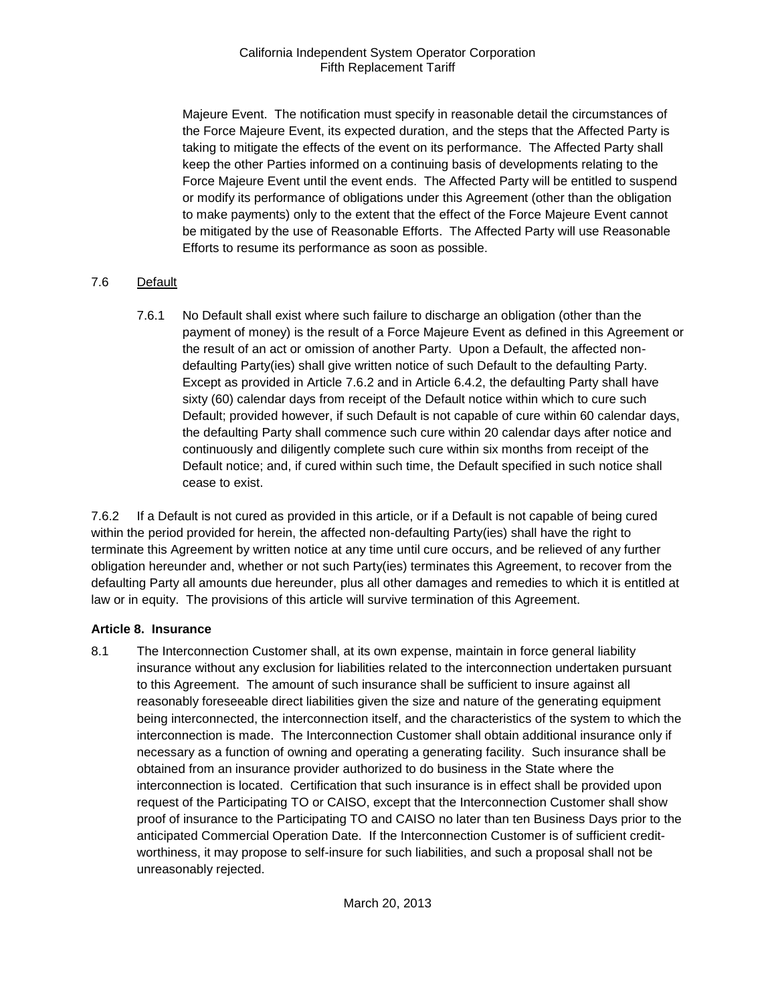Majeure Event. The notification must specify in reasonable detail the circumstances of the Force Majeure Event, its expected duration, and the steps that the Affected Party is taking to mitigate the effects of the event on its performance. The Affected Party shall keep the other Parties informed on a continuing basis of developments relating to the Force Majeure Event until the event ends. The Affected Party will be entitled to suspend or modify its performance of obligations under this Agreement (other than the obligation to make payments) only to the extent that the effect of the Force Majeure Event cannot be mitigated by the use of Reasonable Efforts. The Affected Party will use Reasonable Efforts to resume its performance as soon as possible.

## 7.6 Default

7.6.1 No Default shall exist where such failure to discharge an obligation (other than the payment of money) is the result of a Force Majeure Event as defined in this Agreement or the result of an act or omission of another Party. Upon a Default, the affected nondefaulting Party(ies) shall give written notice of such Default to the defaulting Party. Except as provided in Article 7.6.2 and in Article 6.4.2, the defaulting Party shall have sixty (60) calendar days from receipt of the Default notice within which to cure such Default; provided however, if such Default is not capable of cure within 60 calendar days, the defaulting Party shall commence such cure within 20 calendar days after notice and continuously and diligently complete such cure within six months from receipt of the Default notice; and, if cured within such time, the Default specified in such notice shall cease to exist.

7.6.2 If a Default is not cured as provided in this article, or if a Default is not capable of being cured within the period provided for herein, the affected non-defaulting Party(ies) shall have the right to terminate this Agreement by written notice at any time until cure occurs, and be relieved of any further obligation hereunder and, whether or not such Party(ies) terminates this Agreement, to recover from the defaulting Party all amounts due hereunder, plus all other damages and remedies to which it is entitled at law or in equity. The provisions of this article will survive termination of this Agreement.

## **Article 8. Insurance**

8.1 The Interconnection Customer shall, at its own expense, maintain in force general liability insurance without any exclusion for liabilities related to the interconnection undertaken pursuant to this Agreement. The amount of such insurance shall be sufficient to insure against all reasonably foreseeable direct liabilities given the size and nature of the generating equipment being interconnected, the interconnection itself, and the characteristics of the system to which the interconnection is made. The Interconnection Customer shall obtain additional insurance only if necessary as a function of owning and operating a generating facility. Such insurance shall be obtained from an insurance provider authorized to do business in the State where the interconnection is located. Certification that such insurance is in effect shall be provided upon request of the Participating TO or CAISO, except that the Interconnection Customer shall show proof of insurance to the Participating TO and CAISO no later than ten Business Days prior to the anticipated Commercial Operation Date. If the Interconnection Customer is of sufficient creditworthiness, it may propose to self-insure for such liabilities, and such a proposal shall not be unreasonably rejected.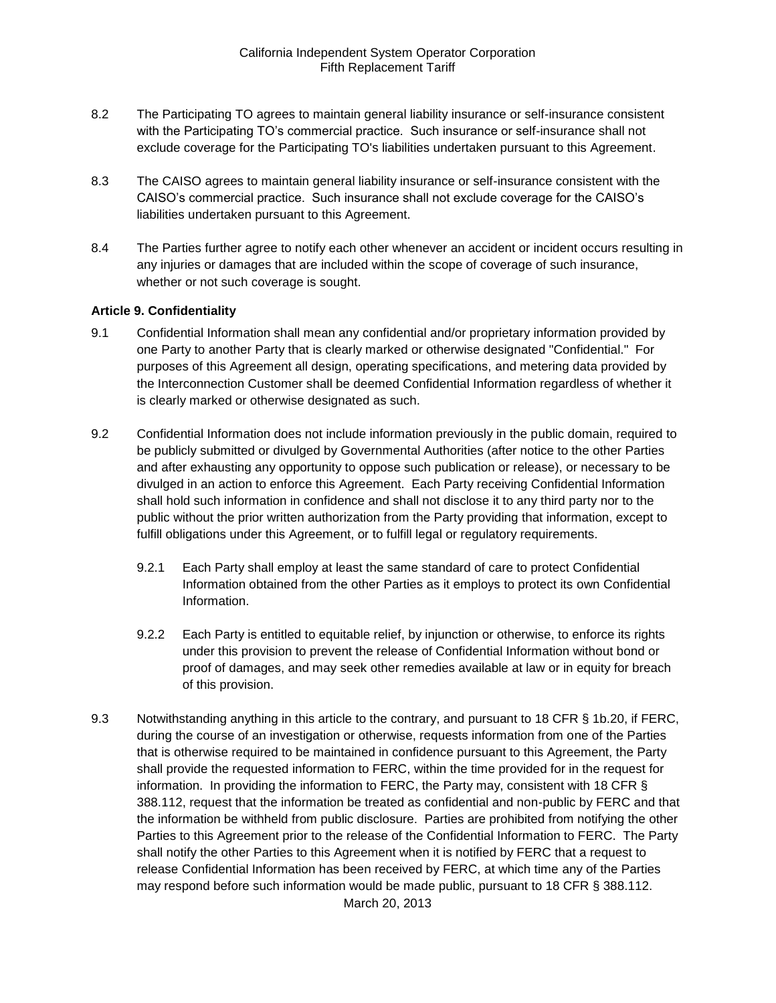- 8.2 The Participating TO agrees to maintain general liability insurance or self-insurance consistent with the Participating TO's commercial practice. Such insurance or self-insurance shall not exclude coverage for the Participating TO's liabilities undertaken pursuant to this Agreement.
- 8.3 The CAISO agrees to maintain general liability insurance or self-insurance consistent with the CAISO's commercial practice. Such insurance shall not exclude coverage for the CAISO's liabilities undertaken pursuant to this Agreement.
- 8.4 The Parties further agree to notify each other whenever an accident or incident occurs resulting in any injuries or damages that are included within the scope of coverage of such insurance, whether or not such coverage is sought.

## **Article 9. Confidentiality**

- 9.1 Confidential Information shall mean any confidential and/or proprietary information provided by one Party to another Party that is clearly marked or otherwise designated "Confidential." For purposes of this Agreement all design, operating specifications, and metering data provided by the Interconnection Customer shall be deemed Confidential Information regardless of whether it is clearly marked or otherwise designated as such.
- 9.2 Confidential Information does not include information previously in the public domain, required to be publicly submitted or divulged by Governmental Authorities (after notice to the other Parties and after exhausting any opportunity to oppose such publication or release), or necessary to be divulged in an action to enforce this Agreement. Each Party receiving Confidential Information shall hold such information in confidence and shall not disclose it to any third party nor to the public without the prior written authorization from the Party providing that information, except to fulfill obligations under this Agreement, or to fulfill legal or regulatory requirements.
	- 9.2.1 Each Party shall employ at least the same standard of care to protect Confidential Information obtained from the other Parties as it employs to protect its own Confidential Information.
	- 9.2.2 Each Party is entitled to equitable relief, by injunction or otherwise, to enforce its rights under this provision to prevent the release of Confidential Information without bond or proof of damages, and may seek other remedies available at law or in equity for breach of this provision.
- 9.3 Notwithstanding anything in this article to the contrary, and pursuant to 18 CFR § 1b.20, if FERC, during the course of an investigation or otherwise, requests information from one of the Parties that is otherwise required to be maintained in confidence pursuant to this Agreement, the Party shall provide the requested information to FERC, within the time provided for in the request for information. In providing the information to FERC, the Party may, consistent with 18 CFR § 388.112, request that the information be treated as confidential and non-public by FERC and that the information be withheld from public disclosure. Parties are prohibited from notifying the other Parties to this Agreement prior to the release of the Confidential Information to FERC. The Party shall notify the other Parties to this Agreement when it is notified by FERC that a request to release Confidential Information has been received by FERC, at which time any of the Parties may respond before such information would be made public, pursuant to 18 CFR § 388.112.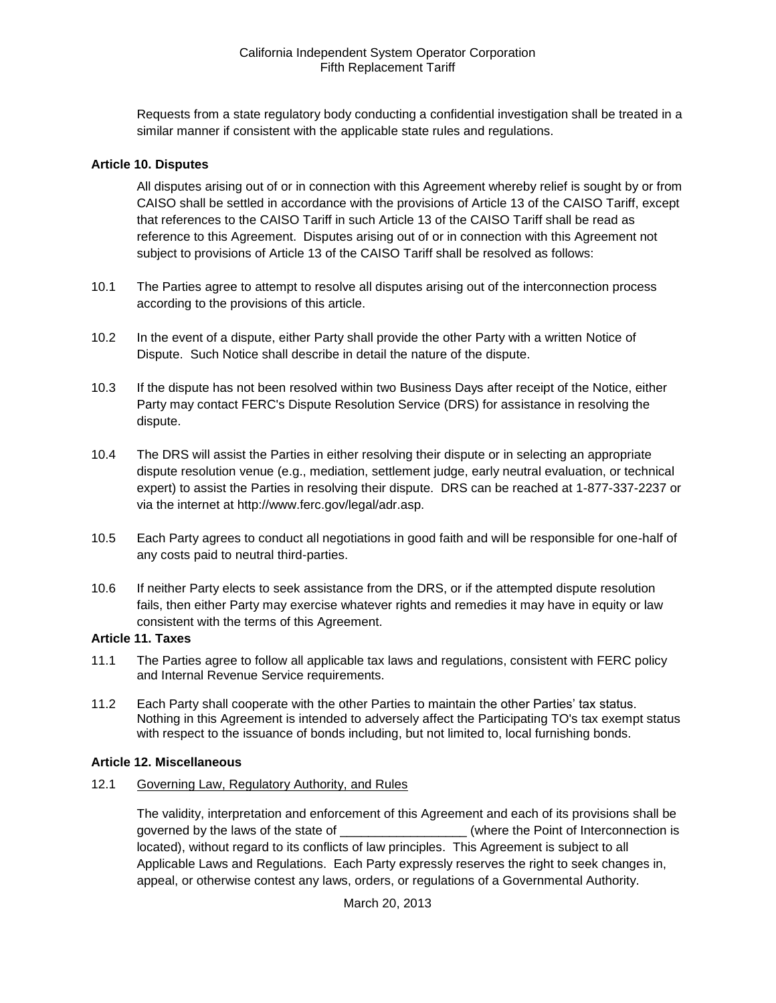Requests from a state regulatory body conducting a confidential investigation shall be treated in a similar manner if consistent with the applicable state rules and regulations.

#### **Article 10. Disputes**

All disputes arising out of or in connection with this Agreement whereby relief is sought by or from CAISO shall be settled in accordance with the provisions of Article 13 of the CAISO Tariff, except that references to the CAISO Tariff in such Article 13 of the CAISO Tariff shall be read as reference to this Agreement. Disputes arising out of or in connection with this Agreement not subject to provisions of Article 13 of the CAISO Tariff shall be resolved as follows:

- 10.1 The Parties agree to attempt to resolve all disputes arising out of the interconnection process according to the provisions of this article.
- 10.2 In the event of a dispute, either Party shall provide the other Party with a written Notice of Dispute. Such Notice shall describe in detail the nature of the dispute.
- 10.3 If the dispute has not been resolved within two Business Days after receipt of the Notice, either Party may contact FERC's Dispute Resolution Service (DRS) for assistance in resolving the dispute.
- 10.4 The DRS will assist the Parties in either resolving their dispute or in selecting an appropriate dispute resolution venue (e.g., mediation, settlement judge, early neutral evaluation, or technical expert) to assist the Parties in resolving their dispute. DRS can be reached at 1-877-337-2237 or via the internet at http://www.ferc.gov/legal/adr.asp.
- 10.5 Each Party agrees to conduct all negotiations in good faith and will be responsible for one-half of any costs paid to neutral third-parties.
- 10.6 If neither Party elects to seek assistance from the DRS, or if the attempted dispute resolution fails, then either Party may exercise whatever rights and remedies it may have in equity or law consistent with the terms of this Agreement.

#### **Article 11. Taxes**

- 11.1 The Parties agree to follow all applicable tax laws and regulations, consistent with FERC policy and Internal Revenue Service requirements.
- 11.2 Each Party shall cooperate with the other Parties to maintain the other Parties' tax status. Nothing in this Agreement is intended to adversely affect the Participating TO's tax exempt status with respect to the issuance of bonds including, but not limited to, local furnishing bonds.

#### **Article 12. Miscellaneous**

12.1 Governing Law, Regulatory Authority, and Rules

The validity, interpretation and enforcement of this Agreement and each of its provisions shall be governed by the laws of the state of  $\blacksquare$  (where the Point of Interconnection is located), without regard to its conflicts of law principles. This Agreement is subject to all Applicable Laws and Regulations. Each Party expressly reserves the right to seek changes in, appeal, or otherwise contest any laws, orders, or regulations of a Governmental Authority.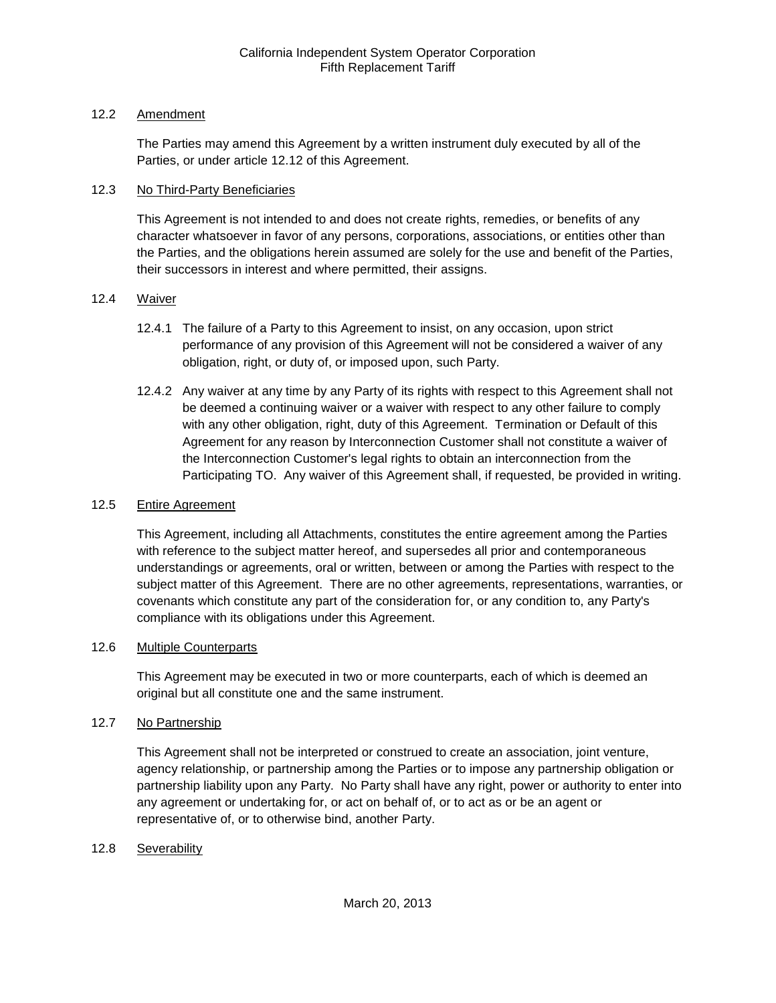## 12.2 Amendment

The Parties may amend this Agreement by a written instrument duly executed by all of the Parties, or under article 12.12 of this Agreement.

## 12.3 No Third-Party Beneficiaries

This Agreement is not intended to and does not create rights, remedies, or benefits of any character whatsoever in favor of any persons, corporations, associations, or entities other than the Parties, and the obligations herein assumed are solely for the use and benefit of the Parties, their successors in interest and where permitted, their assigns.

## 12.4 Waiver

- 12.4.1 The failure of a Party to this Agreement to insist, on any occasion, upon strict performance of any provision of this Agreement will not be considered a waiver of any obligation, right, or duty of, or imposed upon, such Party.
- 12.4.2 Any waiver at any time by any Party of its rights with respect to this Agreement shall not be deemed a continuing waiver or a waiver with respect to any other failure to comply with any other obligation, right, duty of this Agreement. Termination or Default of this Agreement for any reason by Interconnection Customer shall not constitute a waiver of the Interconnection Customer's legal rights to obtain an interconnection from the Participating TO. Any waiver of this Agreement shall, if requested, be provided in writing.

## 12.5 Entire Agreement

This Agreement, including all Attachments, constitutes the entire agreement among the Parties with reference to the subject matter hereof, and supersedes all prior and contemporaneous understandings or agreements, oral or written, between or among the Parties with respect to the subject matter of this Agreement. There are no other agreements, representations, warranties, or covenants which constitute any part of the consideration for, or any condition to, any Party's compliance with its obligations under this Agreement.

## 12.6 Multiple Counterparts

This Agreement may be executed in two or more counterparts, each of which is deemed an original but all constitute one and the same instrument.

## 12.7 No Partnership

This Agreement shall not be interpreted or construed to create an association, joint venture, agency relationship, or partnership among the Parties or to impose any partnership obligation or partnership liability upon any Party. No Party shall have any right, power or authority to enter into any agreement or undertaking for, or act on behalf of, or to act as or be an agent or representative of, or to otherwise bind, another Party.

## 12.8 Severability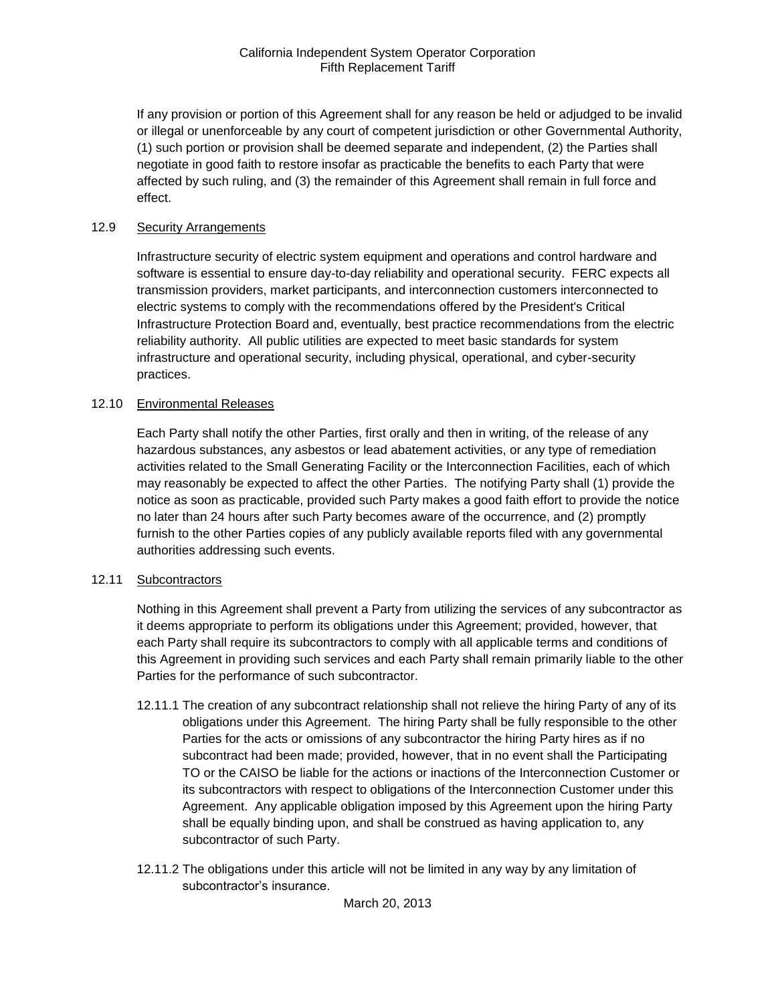If any provision or portion of this Agreement shall for any reason be held or adjudged to be invalid or illegal or unenforceable by any court of competent jurisdiction or other Governmental Authority, (1) such portion or provision shall be deemed separate and independent, (2) the Parties shall negotiate in good faith to restore insofar as practicable the benefits to each Party that were affected by such ruling, and (3) the remainder of this Agreement shall remain in full force and effect.

#### 12.9 Security Arrangements

Infrastructure security of electric system equipment and operations and control hardware and software is essential to ensure day-to-day reliability and operational security. FERC expects all transmission providers, market participants, and interconnection customers interconnected to electric systems to comply with the recommendations offered by the President's Critical Infrastructure Protection Board and, eventually, best practice recommendations from the electric reliability authority. All public utilities are expected to meet basic standards for system infrastructure and operational security, including physical, operational, and cyber-security practices.

#### 12.10 Environmental Releases

Each Party shall notify the other Parties, first orally and then in writing, of the release of any hazardous substances, any asbestos or lead abatement activities, or any type of remediation activities related to the Small Generating Facility or the Interconnection Facilities, each of which may reasonably be expected to affect the other Parties. The notifying Party shall (1) provide the notice as soon as practicable, provided such Party makes a good faith effort to provide the notice no later than 24 hours after such Party becomes aware of the occurrence, and (2) promptly furnish to the other Parties copies of any publicly available reports filed with any governmental authorities addressing such events.

#### 12.11 Subcontractors

Nothing in this Agreement shall prevent a Party from utilizing the services of any subcontractor as it deems appropriate to perform its obligations under this Agreement; provided, however, that each Party shall require its subcontractors to comply with all applicable terms and conditions of this Agreement in providing such services and each Party shall remain primarily liable to the other Parties for the performance of such subcontractor.

- 12.11.1 The creation of any subcontract relationship shall not relieve the hiring Party of any of its obligations under this Agreement. The hiring Party shall be fully responsible to the other Parties for the acts or omissions of any subcontractor the hiring Party hires as if no subcontract had been made; provided, however, that in no event shall the Participating TO or the CAISO be liable for the actions or inactions of the Interconnection Customer or its subcontractors with respect to obligations of the Interconnection Customer under this Agreement. Any applicable obligation imposed by this Agreement upon the hiring Party shall be equally binding upon, and shall be construed as having application to, any subcontractor of such Party.
- 12.11.2 The obligations under this article will not be limited in any way by any limitation of subcontractor's insurance.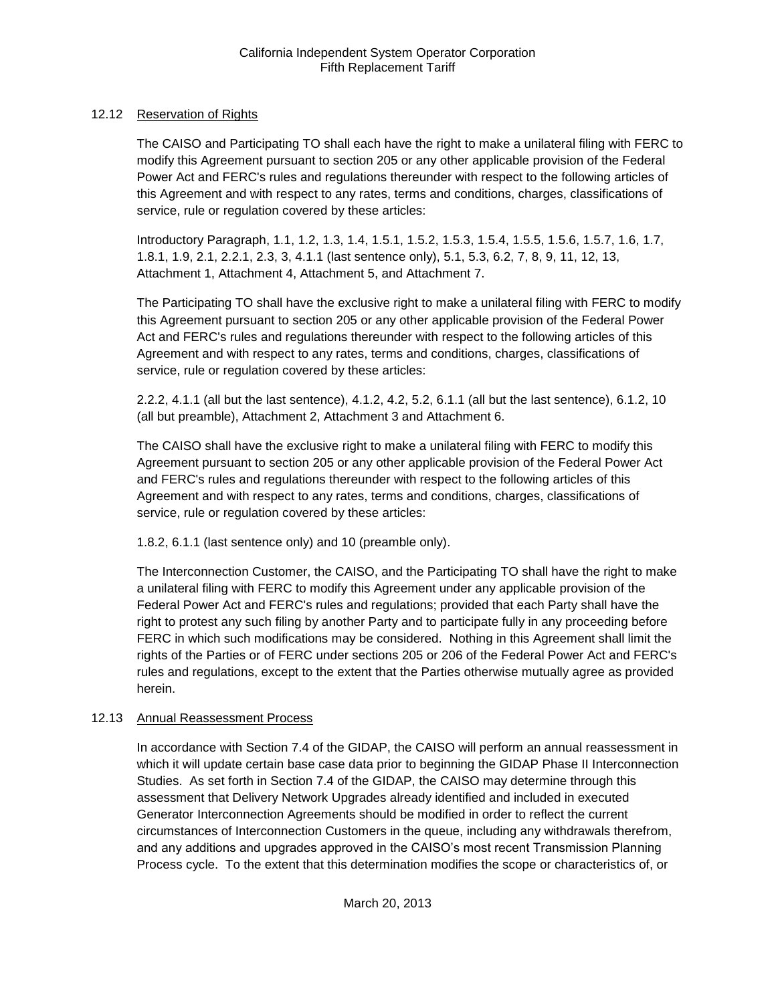## 12.12 Reservation of Rights

The CAISO and Participating TO shall each have the right to make a unilateral filing with FERC to modify this Agreement pursuant to section 205 or any other applicable provision of the Federal Power Act and FERC's rules and regulations thereunder with respect to the following articles of this Agreement and with respect to any rates, terms and conditions, charges, classifications of service, rule or regulation covered by these articles:

Introductory Paragraph, 1.1, 1.2, 1.3, 1.4, 1.5.1, 1.5.2, 1.5.3, 1.5.4, 1.5.5, 1.5.6, 1.5.7, 1.6, 1.7, 1.8.1, 1.9, 2.1, 2.2.1, 2.3, 3, 4.1.1 (last sentence only), 5.1, 5.3, 6.2, 7, 8, 9, 11, 12, 13, Attachment 1, Attachment 4, Attachment 5, and Attachment 7.

The Participating TO shall have the exclusive right to make a unilateral filing with FERC to modify this Agreement pursuant to section 205 or any other applicable provision of the Federal Power Act and FERC's rules and regulations thereunder with respect to the following articles of this Agreement and with respect to any rates, terms and conditions, charges, classifications of service, rule or regulation covered by these articles:

2.2.2, 4.1.1 (all but the last sentence), 4.1.2, 4.2, 5.2, 6.1.1 (all but the last sentence), 6.1.2, 10 (all but preamble), Attachment 2, Attachment 3 and Attachment 6.

The CAISO shall have the exclusive right to make a unilateral filing with FERC to modify this Agreement pursuant to section 205 or any other applicable provision of the Federal Power Act and FERC's rules and regulations thereunder with respect to the following articles of this Agreement and with respect to any rates, terms and conditions, charges, classifications of service, rule or regulation covered by these articles:

1.8.2, 6.1.1 (last sentence only) and 10 (preamble only).

The Interconnection Customer, the CAISO, and the Participating TO shall have the right to make a unilateral filing with FERC to modify this Agreement under any applicable provision of the Federal Power Act and FERC's rules and regulations; provided that each Party shall have the right to protest any such filing by another Party and to participate fully in any proceeding before FERC in which such modifications may be considered. Nothing in this Agreement shall limit the rights of the Parties or of FERC under sections 205 or 206 of the Federal Power Act and FERC's rules and regulations, except to the extent that the Parties otherwise mutually agree as provided herein.

## 12.13 Annual Reassessment Process

In accordance with Section 7.4 of the GIDAP, the CAISO will perform an annual reassessment in which it will update certain base case data prior to beginning the GIDAP Phase II Interconnection Studies. As set forth in Section 7.4 of the GIDAP, the CAISO may determine through this assessment that Delivery Network Upgrades already identified and included in executed Generator Interconnection Agreements should be modified in order to reflect the current circumstances of Interconnection Customers in the queue, including any withdrawals therefrom, and any additions and upgrades approved in the CAISO's most recent Transmission Planning Process cycle. To the extent that this determination modifies the scope or characteristics of, or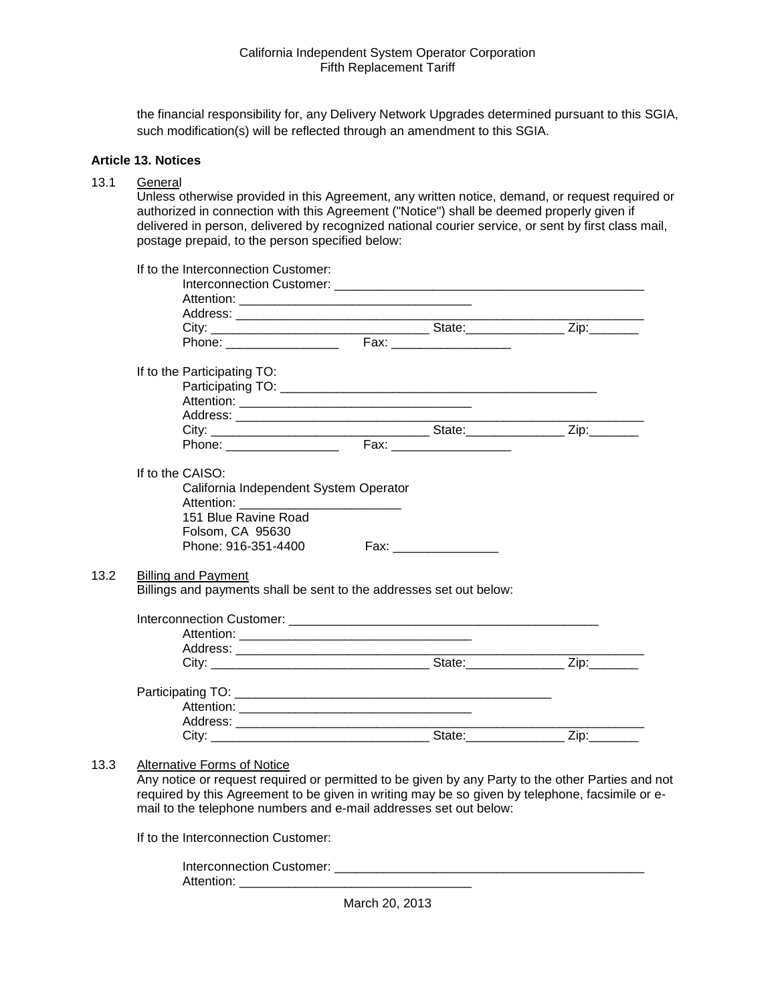the financial responsibility for, any Delivery Network Upgrades determined pursuant to this SGIA, such modification(s) will be reflected through an amendment to this SGIA.

#### **Article 13. Notices**

## 13.1 General

 $13.2$ 

 $13.3$ 

Unless otherwise provided in this Agreement, any written notice, demand, or request required or authorized in connection with this Agreement ("Notice") shall be deemed properly given if delivered in person, delivered by recognized national courier service, or sent by first class mail, postage prepaid, to the person specified below:

| If to the Participating TO:                                         |                         |  |
|---------------------------------------------------------------------|-------------------------|--|
|                                                                     |                         |  |
|                                                                     |                         |  |
|                                                                     |                         |  |
|                                                                     |                         |  |
| Phone: Fax: Fax:                                                    |                         |  |
| If to the CAISO:                                                    |                         |  |
| California Independent System Operator                              |                         |  |
|                                                                     |                         |  |
| 151 Blue Ravine Road                                                |                         |  |
| Folsom, CA 95630                                                    |                         |  |
| Phone: 916-351-4400                                                 | Fax: __________________ |  |
|                                                                     |                         |  |
| <b>Billing and Payment</b>                                          |                         |  |
|                                                                     |                         |  |
| Billings and payments shall be sent to the addresses set out below: |                         |  |
|                                                                     |                         |  |
|                                                                     |                         |  |
|                                                                     |                         |  |
|                                                                     |                         |  |
|                                                                     |                         |  |
|                                                                     |                         |  |
|                                                                     |                         |  |
|                                                                     |                         |  |
|                                                                     |                         |  |

If to the Interconnection Customer:

Interconnection Customer: \_\_\_\_\_\_\_\_\_\_\_\_\_\_\_\_\_\_\_\_\_\_\_\_\_\_\_\_\_\_\_\_\_\_\_\_\_\_\_\_\_\_\_\_ Attention: \_\_\_\_\_\_\_\_\_\_\_\_\_\_\_\_\_\_\_\_\_\_\_\_\_\_\_\_\_\_\_\_\_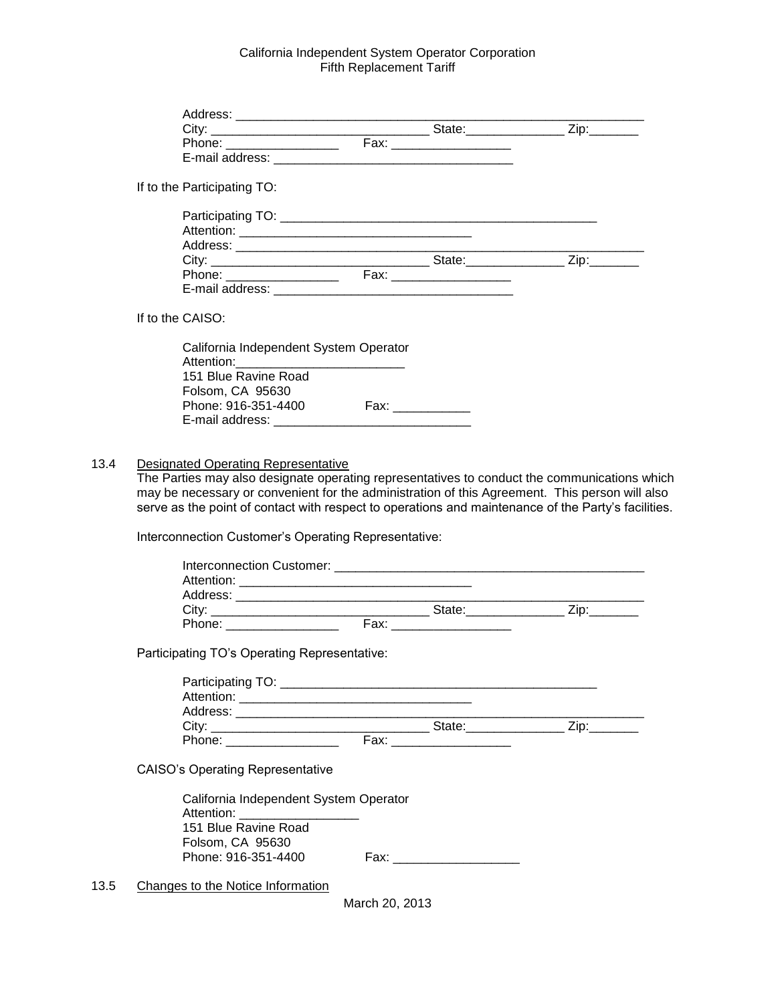| If to the Participating TO:                                                                                                                                                                                                                  |                |                               |  |
|----------------------------------------------------------------------------------------------------------------------------------------------------------------------------------------------------------------------------------------------|----------------|-------------------------------|--|
|                                                                                                                                                                                                                                              |                |                               |  |
|                                                                                                                                                                                                                                              |                |                               |  |
|                                                                                                                                                                                                                                              |                |                               |  |
|                                                                                                                                                                                                                                              |                |                               |  |
|                                                                                                                                                                                                                                              |                |                               |  |
|                                                                                                                                                                                                                                              |                |                               |  |
| If to the CAISO:                                                                                                                                                                                                                             |                |                               |  |
| California Independent System Operator                                                                                                                                                                                                       |                |                               |  |
| Attention:_________________________________                                                                                                                                                                                                  |                |                               |  |
| 151 Blue Ravine Road                                                                                                                                                                                                                         |                |                               |  |
| Folsom, CA 95630                                                                                                                                                                                                                             |                |                               |  |
| Phone: 916-351-4400 Fax: __________                                                                                                                                                                                                          |                |                               |  |
|                                                                                                                                                                                                                                              |                |                               |  |
|                                                                                                                                                                                                                                              |                |                               |  |
| <b>Designated Operating Representative</b><br>The Parties may also designate operating representatives to conduct the communications which<br>may be necessary or convenient for the administration of this Agreement. This person will also |                |                               |  |
| serve as the point of contact with respect to operations and maintenance of the Party's facilities.                                                                                                                                          |                |                               |  |
| Interconnection Customer's Operating Representative:                                                                                                                                                                                         |                |                               |  |
|                                                                                                                                                                                                                                              |                |                               |  |
|                                                                                                                                                                                                                                              |                |                               |  |
|                                                                                                                                                                                                                                              |                |                               |  |
|                                                                                                                                                                                                                                              |                |                               |  |
|                                                                                                                                                                                                                                              |                |                               |  |
| Participating TO's Operating Representative:                                                                                                                                                                                                 |                |                               |  |
|                                                                                                                                                                                                                                              |                |                               |  |
|                                                                                                                                                                                                                                              |                |                               |  |
|                                                                                                                                                                                                                                              |                |                               |  |
|                                                                                                                                                                                                                                              |                |                               |  |
| Phone: ___________________                                                                                                                                                                                                                   |                |                               |  |
| <b>CAISO's Operating Representative</b>                                                                                                                                                                                                      |                |                               |  |
| California Independent System Operator                                                                                                                                                                                                       |                |                               |  |
| Attention: Attention:                                                                                                                                                                                                                        |                |                               |  |
| 151 Blue Ravine Road                                                                                                                                                                                                                         |                |                               |  |
| Folsom, CA 95630                                                                                                                                                                                                                             |                |                               |  |
| Phone: 916-351-4400                                                                                                                                                                                                                          |                | Fax: ________________________ |  |
| Changes to the Notice Information                                                                                                                                                                                                            |                |                               |  |
|                                                                                                                                                                                                                                              | March 20, 2013 |                               |  |
|                                                                                                                                                                                                                                              |                |                               |  |
|                                                                                                                                                                                                                                              |                |                               |  |

 $13.4$ 

 $13.5$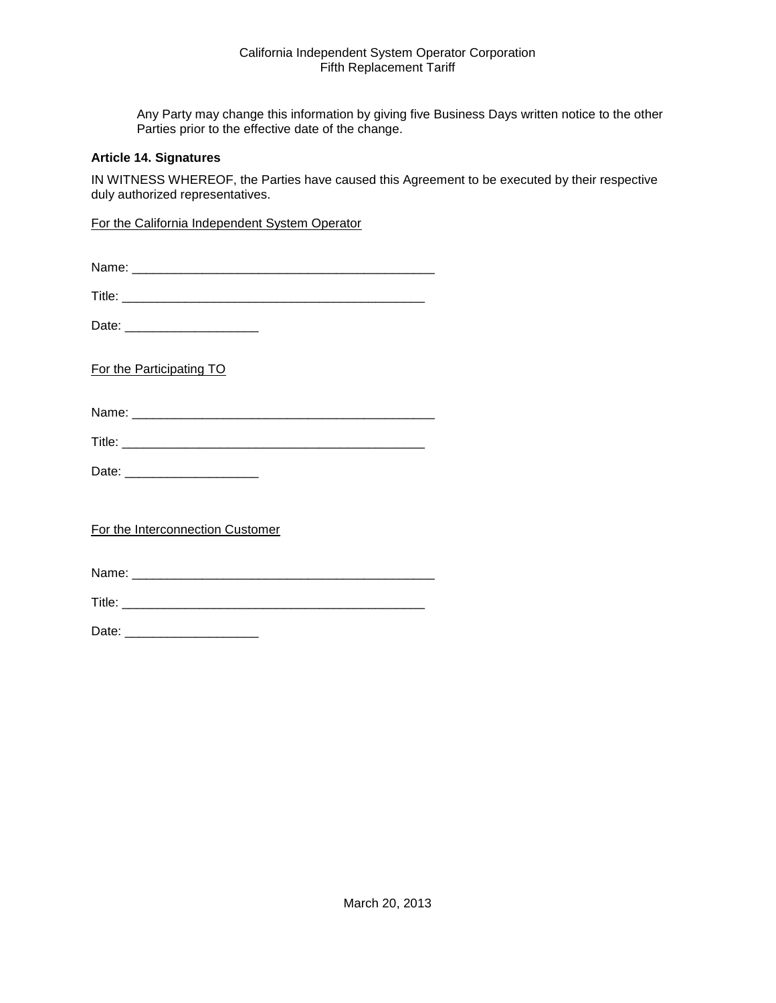Any Party may change this information by giving five Business Days written notice to the other Parties prior to the effective date of the change.

#### **Article 14. Signatures**

IN WITNESS WHEREOF, the Parties have caused this Agreement to be executed by their respective duly authorized representatives.

For the California Independent System Operator

| Name: |
|-------|
|-------|

Date: \_\_\_\_\_\_\_\_\_\_\_\_\_\_\_\_\_\_\_

For the Participating TO

Name: \_\_\_\_\_\_\_\_\_\_\_\_\_\_\_\_\_\_\_\_\_\_\_\_\_\_\_\_\_\_\_\_\_\_\_\_\_\_\_\_\_\_\_

| Title. |  |  |  |
|--------|--|--|--|
|        |  |  |  |

Date: \_\_\_\_\_\_\_\_\_\_\_\_\_\_\_\_\_\_\_

For the Interconnection Customer

Name: \_\_\_\_\_\_\_\_\_\_\_\_\_\_\_\_\_\_\_\_\_\_\_\_\_\_\_\_\_\_\_\_\_\_\_\_\_\_\_\_\_\_\_

Title: \_\_\_\_\_\_\_\_\_\_\_\_\_\_\_\_\_\_\_\_\_\_\_\_\_\_\_\_\_\_\_\_\_\_\_\_\_\_\_\_\_\_\_

Date: \_\_\_\_\_\_\_\_\_\_\_\_\_\_\_\_\_\_\_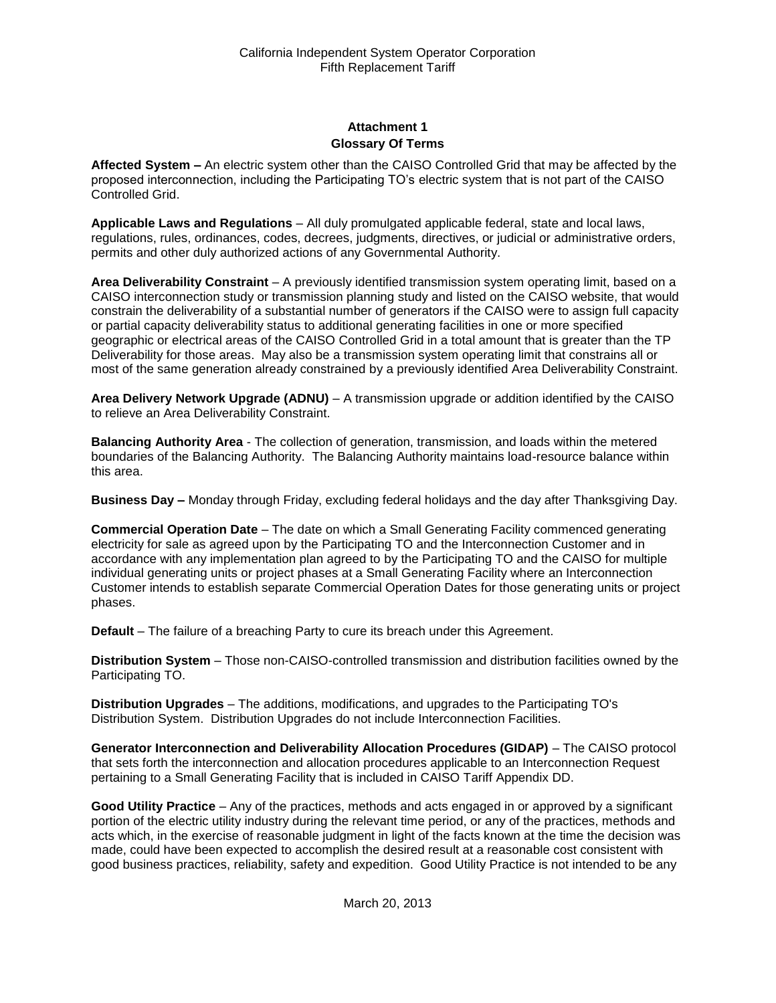## **Attachment 1 Glossary Of Terms**

**Affected System –** An electric system other than the CAISO Controlled Grid that may be affected by the proposed interconnection, including the Participating TO's electric system that is not part of the CAISO Controlled Grid.

**Applicable Laws and Regulations** – All duly promulgated applicable federal, state and local laws, regulations, rules, ordinances, codes, decrees, judgments, directives, or judicial or administrative orders, permits and other duly authorized actions of any Governmental Authority.

**Area Deliverability Constraint** – A previously identified transmission system operating limit, based on a CAISO interconnection study or transmission planning study and listed on the CAISO website, that would constrain the deliverability of a substantial number of generators if the CAISO were to assign full capacity or partial capacity deliverability status to additional generating facilities in one or more specified geographic or electrical areas of the CAISO Controlled Grid in a total amount that is greater than the TP Deliverability for those areas. May also be a transmission system operating limit that constrains all or most of the same generation already constrained by a previously identified Area Deliverability Constraint.

**Area Delivery Network Upgrade (ADNU)** – A transmission upgrade or addition identified by the CAISO to relieve an Area Deliverability Constraint.

**Balancing Authority Area** - The collection of generation, transmission, and loads within the metered boundaries of the Balancing Authority. The Balancing Authority maintains load-resource balance within this area.

**Business Day –** Monday through Friday, excluding federal holidays and the day after Thanksgiving Day.

**Commercial Operation Date** – The date on which a Small Generating Facility commenced generating electricity for sale as agreed upon by the Participating TO and the Interconnection Customer and in accordance with any implementation plan agreed to by the Participating TO and the CAISO for multiple individual generating units or project phases at a Small Generating Facility where an Interconnection Customer intends to establish separate Commercial Operation Dates for those generating units or project phases.

**Default** – The failure of a breaching Party to cure its breach under this Agreement.

**Distribution System** – Those non-CAISO-controlled transmission and distribution facilities owned by the Participating TO.

**Distribution Upgrades** – The additions, modifications, and upgrades to the Participating TO's Distribution System. Distribution Upgrades do not include Interconnection Facilities.

**Generator Interconnection and Deliverability Allocation Procedures (GIDAP)** – The CAISO protocol that sets forth the interconnection and allocation procedures applicable to an Interconnection Request pertaining to a Small Generating Facility that is included in CAISO Tariff Appendix DD.

**Good Utility Practice** – Any of the practices, methods and acts engaged in or approved by a significant portion of the electric utility industry during the relevant time period, or any of the practices, methods and acts which, in the exercise of reasonable judgment in light of the facts known at the time the decision was made, could have been expected to accomplish the desired result at a reasonable cost consistent with good business practices, reliability, safety and expedition. Good Utility Practice is not intended to be any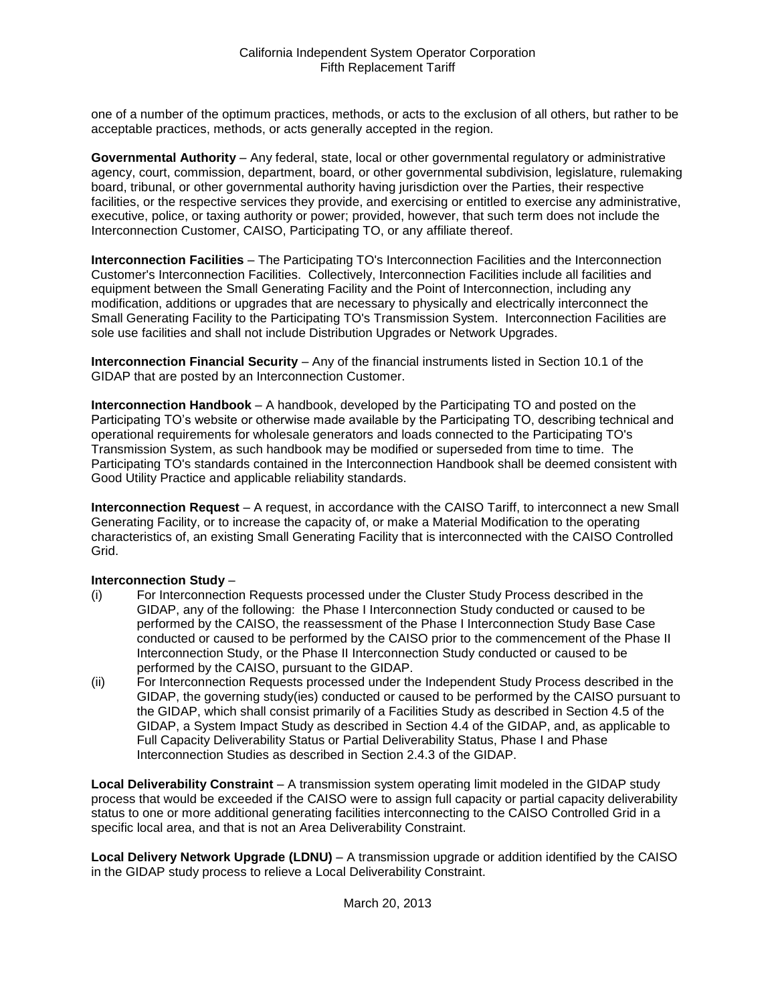one of a number of the optimum practices, methods, or acts to the exclusion of all others, but rather to be acceptable practices, methods, or acts generally accepted in the region.

**Governmental Authority** – Any federal, state, local or other governmental regulatory or administrative agency, court, commission, department, board, or other governmental subdivision, legislature, rulemaking board, tribunal, or other governmental authority having jurisdiction over the Parties, their respective facilities, or the respective services they provide, and exercising or entitled to exercise any administrative, executive, police, or taxing authority or power; provided, however, that such term does not include the Interconnection Customer, CAISO, Participating TO, or any affiliate thereof.

**Interconnection Facilities** – The Participating TO's Interconnection Facilities and the Interconnection Customer's Interconnection Facilities. Collectively, Interconnection Facilities include all facilities and equipment between the Small Generating Facility and the Point of Interconnection, including any modification, additions or upgrades that are necessary to physically and electrically interconnect the Small Generating Facility to the Participating TO's Transmission System. Interconnection Facilities are sole use facilities and shall not include Distribution Upgrades or Network Upgrades.

**Interconnection Financial Security** – Any of the financial instruments listed in Section 10.1 of the GIDAP that are posted by an Interconnection Customer.

**Interconnection Handbook** – A handbook, developed by the Participating TO and posted on the Participating TO's website or otherwise made available by the Participating TO, describing technical and operational requirements for wholesale generators and loads connected to the Participating TO's Transmission System, as such handbook may be modified or superseded from time to time. The Participating TO's standards contained in the Interconnection Handbook shall be deemed consistent with Good Utility Practice and applicable reliability standards.

**Interconnection Request** – A request, in accordance with the CAISO Tariff, to interconnect a new Small Generating Facility, or to increase the capacity of, or make a Material Modification to the operating characteristics of, an existing Small Generating Facility that is interconnected with the CAISO Controlled Grid.

## **Interconnection Study** –

- (i) For Interconnection Requests processed under the Cluster Study Process described in the GIDAP, any of the following: the Phase I Interconnection Study conducted or caused to be performed by the CAISO, the reassessment of the Phase I Interconnection Study Base Case conducted or caused to be performed by the CAISO prior to the commencement of the Phase II Interconnection Study, or the Phase II Interconnection Study conducted or caused to be performed by the CAISO, pursuant to the GIDAP.
- (ii) For Interconnection Requests processed under the Independent Study Process described in the GIDAP, the governing study(ies) conducted or caused to be performed by the CAISO pursuant to the GIDAP, which shall consist primarily of a Facilities Study as described in Section 4.5 of the GIDAP, a System Impact Study as described in Section 4.4 of the GIDAP, and, as applicable to Full Capacity Deliverability Status or Partial Deliverability Status, Phase I and Phase Interconnection Studies as described in Section 2.4.3 of the GIDAP.

**Local Deliverability Constraint** – A transmission system operating limit modeled in the GIDAP study process that would be exceeded if the CAISO were to assign full capacity or partial capacity deliverability status to one or more additional generating facilities interconnecting to the CAISO Controlled Grid in a specific local area, and that is not an Area Deliverability Constraint.

**Local Delivery Network Upgrade (LDNU)** – A transmission upgrade or addition identified by the CAISO in the GIDAP study process to relieve a Local Deliverability Constraint.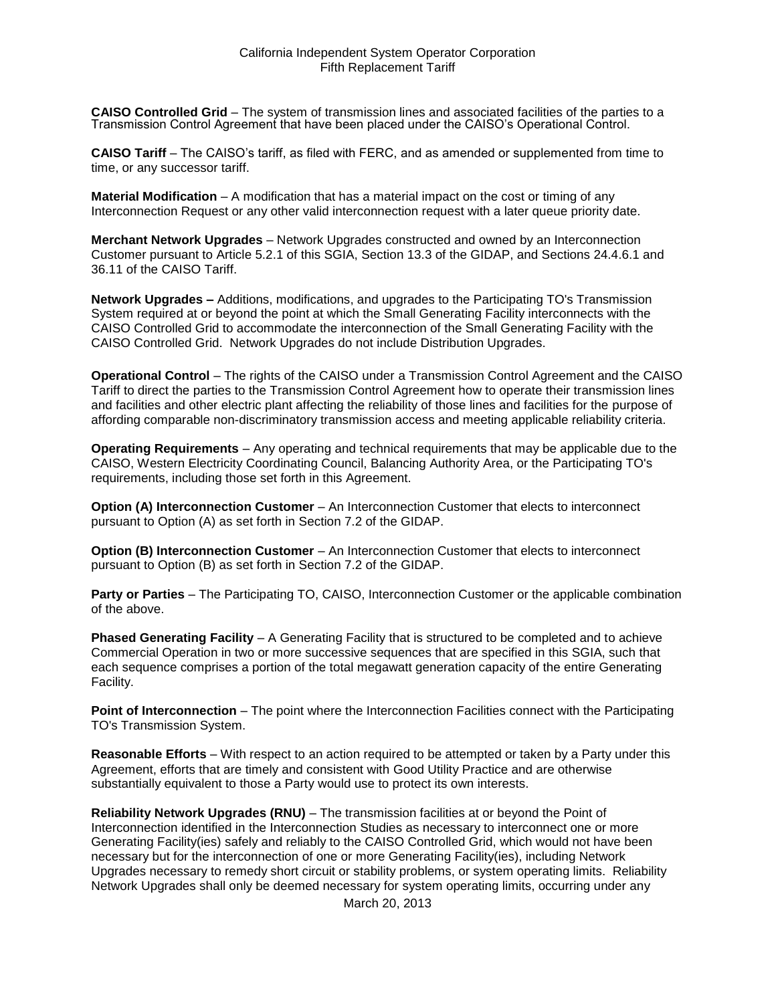**CAISO Controlled Grid** – The system of transmission lines and associated facilities of the parties to a Transmission Control Agreement that have been placed under the CAISO's Operational Control.

**CAISO Tariff** – The CAISO's tariff, as filed with FERC, and as amended or supplemented from time to time, or any successor tariff.

**Material Modification** – A modification that has a material impact on the cost or timing of any Interconnection Request or any other valid interconnection request with a later queue priority date.

**Merchant Network Upgrades** – Network Upgrades constructed and owned by an Interconnection Customer pursuant to Article 5.2.1 of this SGIA, Section 13.3 of the GIDAP, and Sections 24.4.6.1 and 36.11 of the CAISO Tariff.

**Network Upgrades –** Additions, modifications, and upgrades to the Participating TO's Transmission System required at or beyond the point at which the Small Generating Facility interconnects with the CAISO Controlled Grid to accommodate the interconnection of the Small Generating Facility with the CAISO Controlled Grid. Network Upgrades do not include Distribution Upgrades.

**Operational Control** – The rights of the CAISO under a Transmission Control Agreement and the CAISO Tariff to direct the parties to the Transmission Control Agreement how to operate their transmission lines and facilities and other electric plant affecting the reliability of those lines and facilities for the purpose of affording comparable non-discriminatory transmission access and meeting applicable reliability criteria.

**Operating Requirements** – Any operating and technical requirements that may be applicable due to the CAISO, Western Electricity Coordinating Council, Balancing Authority Area, or the Participating TO's requirements, including those set forth in this Agreement.

**Option (A) Interconnection Customer** – An Interconnection Customer that elects to interconnect pursuant to Option (A) as set forth in Section 7.2 of the GIDAP.

**Option (B) Interconnection Customer** – An Interconnection Customer that elects to interconnect pursuant to Option (B) as set forth in Section 7.2 of the GIDAP.

**Party or Parties** – The Participating TO, CAISO, Interconnection Customer or the applicable combination of the above.

**Phased Generating Facility** – A Generating Facility that is structured to be completed and to achieve Commercial Operation in two or more successive sequences that are specified in this SGIA, such that each sequence comprises a portion of the total megawatt generation capacity of the entire Generating Facility.

**Point of Interconnection** – The point where the Interconnection Facilities connect with the Participating TO's Transmission System.

**Reasonable Efforts** – With respect to an action required to be attempted or taken by a Party under this Agreement, efforts that are timely and consistent with Good Utility Practice and are otherwise substantially equivalent to those a Party would use to protect its own interests.

**Reliability Network Upgrades (RNU)** – The transmission facilities at or beyond the Point of Interconnection identified in the Interconnection Studies as necessary to interconnect one or more Generating Facility(ies) safely and reliably to the CAISO Controlled Grid, which would not have been necessary but for the interconnection of one or more Generating Facility(ies), including Network Upgrades necessary to remedy short circuit or stability problems, or system operating limits. Reliability Network Upgrades shall only be deemed necessary for system operating limits, occurring under any

March 20, 2013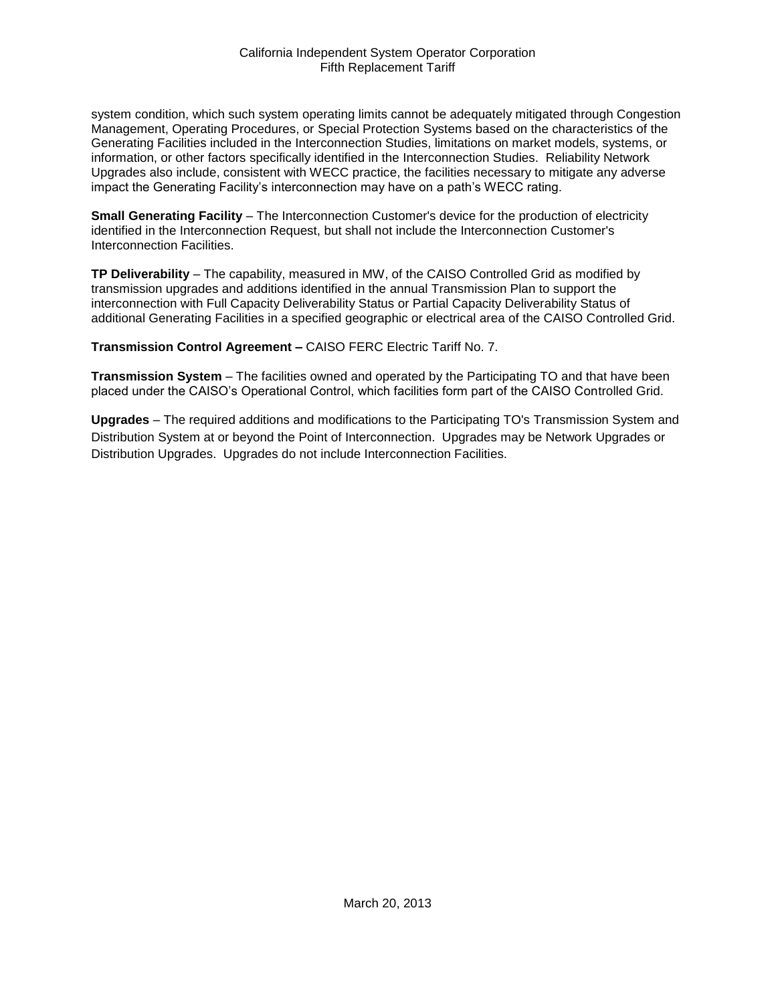system condition, which such system operating limits cannot be adequately mitigated through Congestion Management, Operating Procedures, or Special Protection Systems based on the characteristics of the Generating Facilities included in the Interconnection Studies, limitations on market models, systems, or information, or other factors specifically identified in the Interconnection Studies. Reliability Network Upgrades also include, consistent with WECC practice, the facilities necessary to mitigate any adverse impact the Generating Facility's interconnection may have on a path's WECC rating.

**Small Generating Facility** – The Interconnection Customer's device for the production of electricity identified in the Interconnection Request, but shall not include the Interconnection Customer's Interconnection Facilities.

**TP Deliverability** – The capability, measured in MW, of the CAISO Controlled Grid as modified by transmission upgrades and additions identified in the annual Transmission Plan to support the interconnection with Full Capacity Deliverability Status or Partial Capacity Deliverability Status of additional Generating Facilities in a specified geographic or electrical area of the CAISO Controlled Grid.

**Transmission Control Agreement –** CAISO FERC Electric Tariff No. 7.

**Transmission System** – The facilities owned and operated by the Participating TO and that have been placed under the CAISO's Operational Control, which facilities form part of the CAISO Controlled Grid.

**Upgrades** – The required additions and modifications to the Participating TO's Transmission System and Distribution System at or beyond the Point of Interconnection. Upgrades may be Network Upgrades or Distribution Upgrades. Upgrades do not include Interconnection Facilities.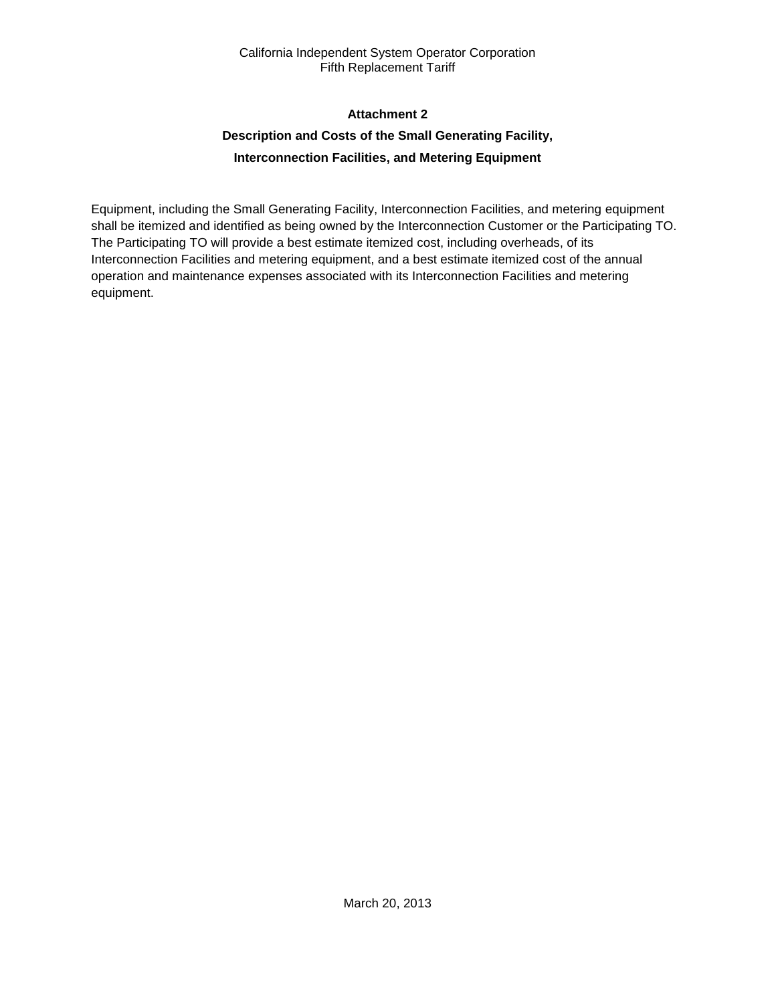## **Attachment 2**

# **Description and Costs of the Small Generating Facility, Interconnection Facilities, and Metering Equipment**

Equipment, including the Small Generating Facility, Interconnection Facilities, and metering equipment shall be itemized and identified as being owned by the Interconnection Customer or the Participating TO. The Participating TO will provide a best estimate itemized cost, including overheads, of its Interconnection Facilities and metering equipment, and a best estimate itemized cost of the annual operation and maintenance expenses associated with its Interconnection Facilities and metering equipment.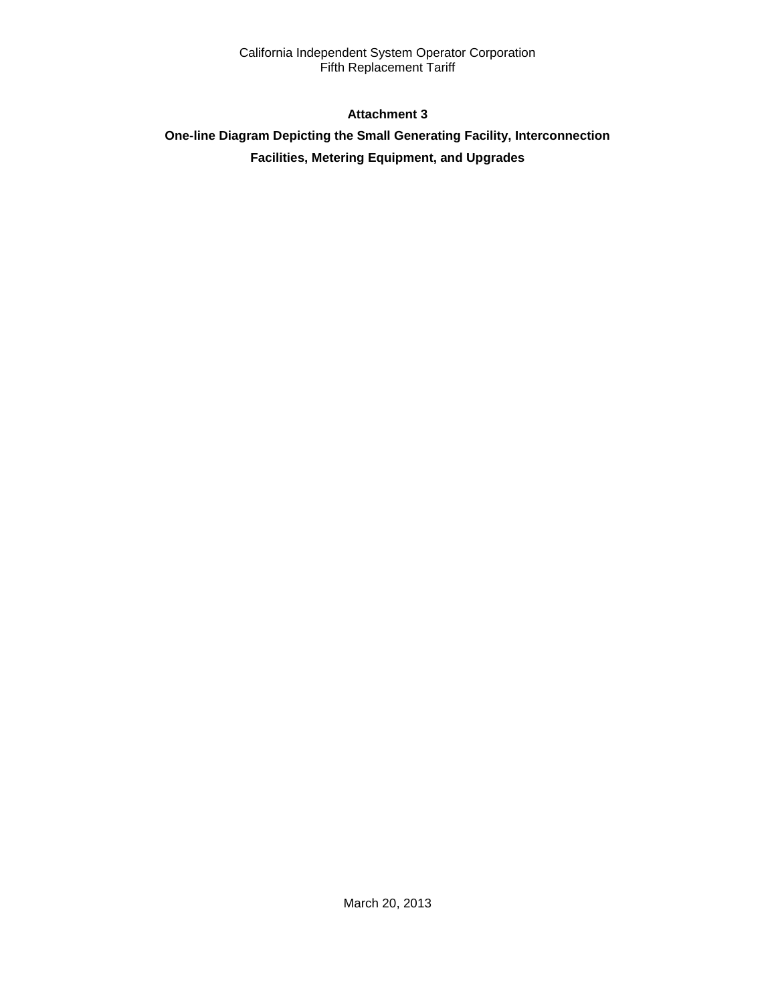## **Attachment 3**

# **One-line Diagram Depicting the Small Generating Facility, Interconnection Facilities, Metering Equipment, and Upgrades**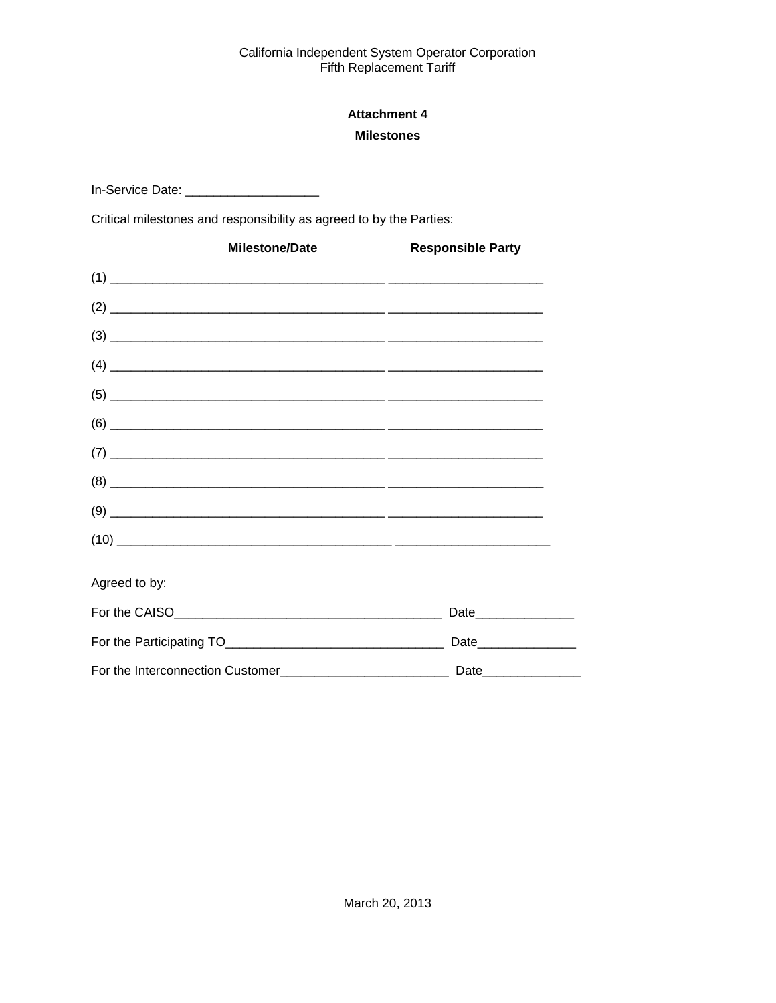# **Attachment 4 Milestones**

In-Service Date: \_\_\_\_\_\_\_\_\_\_\_\_\_\_\_\_\_\_\_\_\_\_\_

Critical milestones and responsibility as agreed to by the Parties:

|               | <b>Milestone/Date</b> | <b>Responsible Party</b>                                                                                                                                                                                                                                                                                                                              |
|---------------|-----------------------|-------------------------------------------------------------------------------------------------------------------------------------------------------------------------------------------------------------------------------------------------------------------------------------------------------------------------------------------------------|
|               |                       |                                                                                                                                                                                                                                                                                                                                                       |
|               |                       |                                                                                                                                                                                                                                                                                                                                                       |
|               |                       |                                                                                                                                                                                                                                                                                                                                                       |
|               |                       |                                                                                                                                                                                                                                                                                                                                                       |
|               |                       |                                                                                                                                                                                                                                                                                                                                                       |
|               |                       |                                                                                                                                                                                                                                                                                                                                                       |
|               |                       |                                                                                                                                                                                                                                                                                                                                                       |
|               |                       | $(8) \begin{tabular}{l} \hline \rule{0.2cm}{0.15cm} \rule{0.2cm}{0.15cm} \rule{0.2cm}{0.15cm} \rule{0.2cm}{0.15cm} \rule{0.2cm}{0.15cm} \rule{0.2cm}{0.15cm} \rule{0.2cm}{0.15cm} \rule{0.2cm}{0.15cm} \rule{0.2cm}{0.15cm} \rule{0.2cm}{0.15cm} \rule{0.2cm}{0.15cm} \rule{0.2cm}{0.15cm} \rule{0.2cm}{0.15cm} \rule{0.2cm}{0.15cm} \rule{0.2cm}{0.$ |
|               |                       |                                                                                                                                                                                                                                                                                                                                                       |
|               |                       | $(10) \begin{tabular}{l} \hline \rule{0.2cm}{0.15cm} \rule{0.2cm}{0.15cm} \rule{0.2cm}{0.15cm} \rule{0.2cm}{0.15cm} \rule{0.2cm}{0.15cm} \rule{0.2cm}{0.15cm} \rule{0.2cm}{0.15cm} \rule{0.2cm}{0.15cm} \rule{0.2cm}{0.15cm} \rule{0.2cm}{0.15cm} \rule{0.2cm}{0.15cm} \rule{0.2cm}{0.15cm} \rule{0.2cm}{0.15cm} \rule{0.2cm}{0.15cm} \rule{0.2cm}{0$ |
| Agreed to by: |                       |                                                                                                                                                                                                                                                                                                                                                       |
|               |                       |                                                                                                                                                                                                                                                                                                                                                       |
|               |                       | Date________________                                                                                                                                                                                                                                                                                                                                  |
|               |                       |                                                                                                                                                                                                                                                                                                                                                       |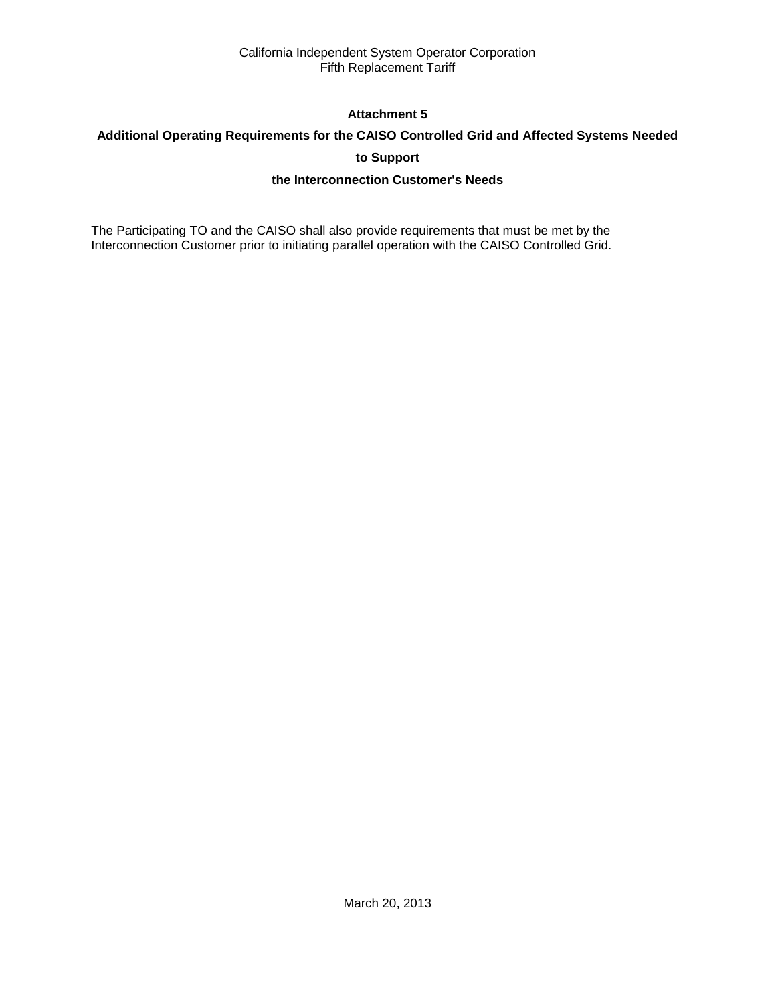## **Attachment 5**

# **Additional Operating Requirements for the CAISO Controlled Grid and Affected Systems Needed**

**to Support**

## **the Interconnection Customer's Needs**

The Participating TO and the CAISO shall also provide requirements that must be met by the Interconnection Customer prior to initiating parallel operation with the CAISO Controlled Grid.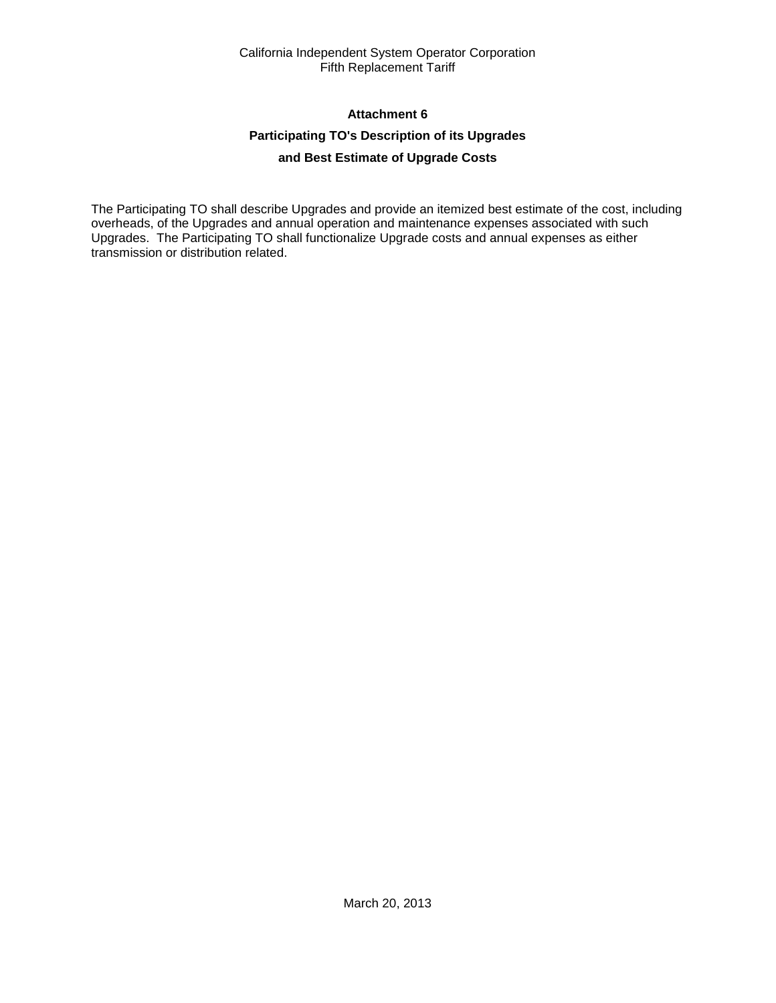## **Attachment 6**

## **Participating TO's Description of its Upgrades**

## **and Best Estimate of Upgrade Costs**

The Participating TO shall describe Upgrades and provide an itemized best estimate of the cost, including overheads, of the Upgrades and annual operation and maintenance expenses associated with such Upgrades. The Participating TO shall functionalize Upgrade costs and annual expenses as either transmission or distribution related.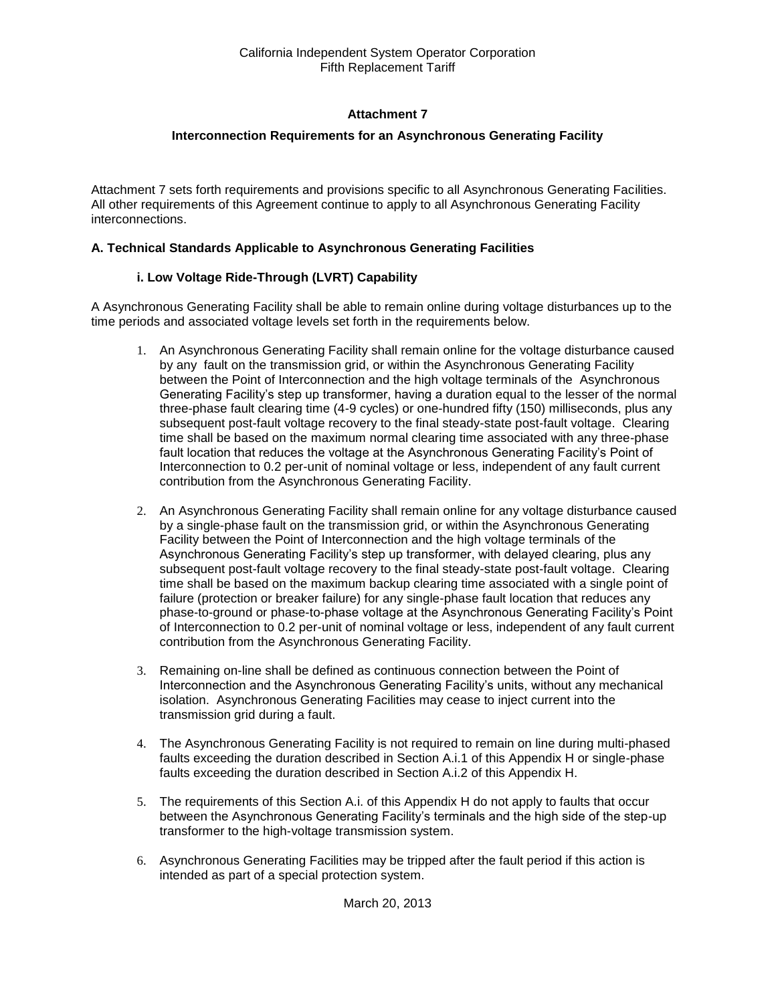## **Attachment 7**

## **Interconnection Requirements for an Asynchronous Generating Facility**

Attachment 7 sets forth requirements and provisions specific to all Asynchronous Generating Facilities. All other requirements of this Agreement continue to apply to all Asynchronous Generating Facility interconnections.

## **A. Technical Standards Applicable to Asynchronous Generating Facilities**

## **i. Low Voltage Ride-Through (LVRT) Capability**

A Asynchronous Generating Facility shall be able to remain online during voltage disturbances up to the time periods and associated voltage levels set forth in the requirements below.

- 1. An Asynchronous Generating Facility shall remain online for the voltage disturbance caused by any fault on the transmission grid, or within the Asynchronous Generating Facility between the Point of Interconnection and the high voltage terminals of the Asynchronous Generating Facility's step up transformer, having a duration equal to the lesser of the normal three-phase fault clearing time (4-9 cycles) or one-hundred fifty (150) milliseconds, plus any subsequent post-fault voltage recovery to the final steady-state post-fault voltage. Clearing time shall be based on the maximum normal clearing time associated with any three-phase fault location that reduces the voltage at the Asynchronous Generating Facility's Point of Interconnection to 0.2 per-unit of nominal voltage or less, independent of any fault current contribution from the Asynchronous Generating Facility.
- 2. An Asynchronous Generating Facility shall remain online for any voltage disturbance caused by a single-phase fault on the transmission grid, or within the Asynchronous Generating Facility between the Point of Interconnection and the high voltage terminals of the Asynchronous Generating Facility's step up transformer, with delayed clearing, plus any subsequent post-fault voltage recovery to the final steady-state post-fault voltage. Clearing time shall be based on the maximum backup clearing time associated with a single point of failure (protection or breaker failure) for any single-phase fault location that reduces any phase-to-ground or phase-to-phase voltage at the Asynchronous Generating Facility's Point of Interconnection to 0.2 per-unit of nominal voltage or less, independent of any fault current contribution from the Asynchronous Generating Facility.
- 3. Remaining on-line shall be defined as continuous connection between the Point of Interconnection and the Asynchronous Generating Facility's units, without any mechanical isolation. Asynchronous Generating Facilities may cease to inject current into the transmission grid during a fault.
- 4. The Asynchronous Generating Facility is not required to remain on line during multi-phased faults exceeding the duration described in Section A.i.1 of this Appendix H or single-phase faults exceeding the duration described in Section A.i.2 of this Appendix H.
- 5. The requirements of this Section A.i. of this Appendix H do not apply to faults that occur between the Asynchronous Generating Facility's terminals and the high side of the step-up transformer to the high-voltage transmission system.
- 6. Asynchronous Generating Facilities may be tripped after the fault period if this action is intended as part of a special protection system.